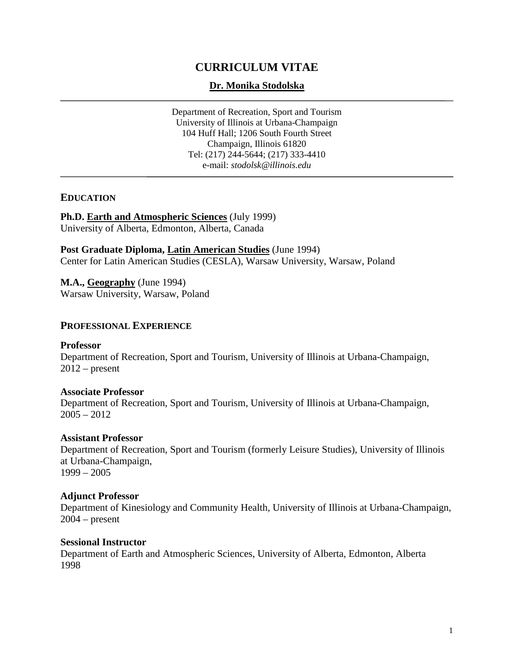# **CURRICULUM VITAE**

## **Dr. Monika Stodolska**

Department of Recreation, Sport and Tourism University of Illinois at Urbana-Champaign 104 Huff Hall; 1206 South Fourth Street Champaign, Illinois 61820 Tel: (217) 244-5644; (217) 333-4410 e-mail: *stodolsk@illinois.edu*

## **EDUCATION**

**Ph.D. Earth and Atmospheric Sciences** (July 1999) University of Alberta, Edmonton, Alberta, Canada

**Post Graduate Diploma, Latin American Studies** (June 1994) Center for Latin American Studies (CESLA), Warsaw University, Warsaw, Poland

**M.A., Geography** (June 1994) Warsaw University, Warsaw, Poland

## **PROFESSIONAL EXPERIENCE**

#### **Professor**

Department of Recreation, Sport and Tourism, University of Illinois at Urbana-Champaign,  $2012$  – present

#### **Associate Professor**

Department of Recreation, Sport and Tourism, University of Illinois at Urbana-Champaign,  $2005 - 2012$ 

#### **Assistant Professor**

Department of Recreation, Sport and Tourism (formerly Leisure Studies), University of Illinois at Urbana-Champaign, 1999 – 2005

#### **Adjunct Professor**

Department of Kinesiology and Community Health, University of Illinois at Urbana-Champaign, 2004 – present

#### **Sessional Instructor**

Department of Earth and Atmospheric Sciences, University of Alberta, Edmonton, Alberta 1998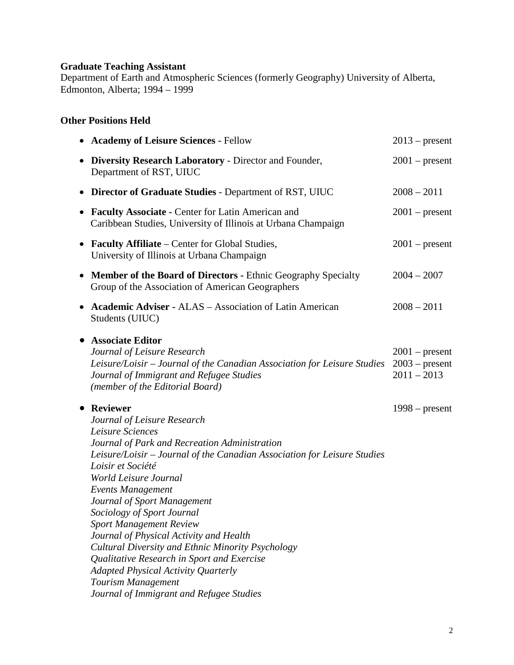# **Graduate Teaching Assistant**

Department of Earth and Atmospheric Sciences (formerly Geography) University of Alberta, Edmonton, Alberta; 1994 – 1999

## **Other Positions Held**

|           | <b>Academy of Leisure Sciences - Fellow</b>                                                                                                                                                                                                                                                                                                                                                                                                                                                                                                                                                                                            | $2013$ – present                                      |
|-----------|----------------------------------------------------------------------------------------------------------------------------------------------------------------------------------------------------------------------------------------------------------------------------------------------------------------------------------------------------------------------------------------------------------------------------------------------------------------------------------------------------------------------------------------------------------------------------------------------------------------------------------------|-------------------------------------------------------|
| $\bullet$ | <b>Diversity Research Laboratory - Director and Founder,</b><br>Department of RST, UIUC                                                                                                                                                                                                                                                                                                                                                                                                                                                                                                                                                | $2001$ – present                                      |
| $\bullet$ | <b>Director of Graduate Studies - Department of RST, UIUC</b>                                                                                                                                                                                                                                                                                                                                                                                                                                                                                                                                                                          | $2008 - 2011$                                         |
| $\bullet$ | <b>Faculty Associate - Center for Latin American and</b><br>Caribbean Studies, University of Illinois at Urbana Champaign                                                                                                                                                                                                                                                                                                                                                                                                                                                                                                              | $2001$ – present                                      |
| $\bullet$ | <b>Faculty Affiliate</b> – Center for Global Studies,<br>University of Illinois at Urbana Champaign                                                                                                                                                                                                                                                                                                                                                                                                                                                                                                                                    | $2001$ – present                                      |
| $\bullet$ | <b>Member of the Board of Directors - Ethnic Geography Specialty</b><br>Group of the Association of American Geographers                                                                                                                                                                                                                                                                                                                                                                                                                                                                                                               | $2004 - 2007$                                         |
| $\bullet$ | <b>Academic Adviser - ALAS - Association of Latin American</b><br>Students (UIUC)                                                                                                                                                                                                                                                                                                                                                                                                                                                                                                                                                      | $2008 - 2011$                                         |
| $\bullet$ | <b>Associate Editor</b><br>Journal of Leisure Research<br>Leisure/Loisir – Journal of the Canadian Association for Leisure Studies<br>Journal of Immigrant and Refugee Studies<br>(member of the Editorial Board)                                                                                                                                                                                                                                                                                                                                                                                                                      | $2001$ – present<br>$2003$ – present<br>$2011 - 2013$ |
| $\bullet$ | <b>Reviewer</b><br>Journal of Leisure Research<br>Leisure Sciences<br>Journal of Park and Recreation Administration<br>Leisure/Loisir – Journal of the Canadian Association for Leisure Studies<br>Loisir et Société<br>World Leisure Journal<br><b>Events Management</b><br>Journal of Sport Management<br>Sociology of Sport Journal<br><b>Sport Management Review</b><br>Journal of Physical Activity and Health<br>Cultural Diversity and Ethnic Minority Psychology<br>Qualitative Research in Sport and Exercise<br><b>Adapted Physical Activity Quarterly</b><br>Tourism Management<br>Journal of Immigrant and Refugee Studies | $1998 - present$                                      |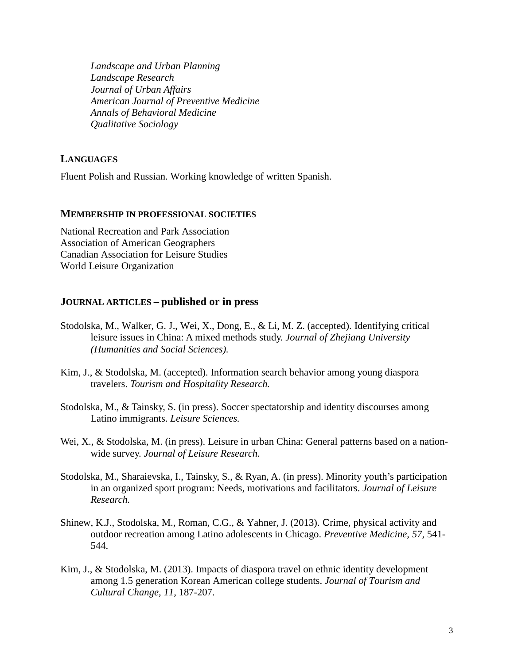*Landscape and Urban Planning Landscape Research Journal of Urban Affairs American Journal of Preventive Medicine Annals of Behavioral Medicine Qualitative Sociology*

## **LANGUAGES**

Fluent Polish and Russian. Working knowledge of written Spanish.

## **MEMBERSHIP IN PROFESSIONAL SOCIETIES**

National Recreation and Park Association Association of American Geographers Canadian Association for Leisure Studies World Leisure Organization

## **JOURNAL ARTICLES – published or in press**

- Stodolska, M., Walker, G. J., Wei, X., Dong, E., & Li, M. Z. (accepted). Identifying critical leisure issues in China: A mixed methods study. *Journal of Zhejiang University (Humanities and Social Sciences).*
- Kim, J., & Stodolska, M. (accepted). Information search behavior among young diaspora travelers. *Tourism and Hospitality Research.*
- Stodolska, M., & Tainsky, S. (in press). Soccer spectatorship and identity discourses among Latino immigrants. *Leisure Sciences.*
- Wei, X., & Stodolska, M. (in press). Leisure in urban China: General patterns based on a nationwide survey. *Journal of Leisure Research.*
- Stodolska, M., Sharaievska, I., Tainsky, S., & Ryan, A. (in press). Minority youth's participation in an organized sport program: Needs, motivations and facilitators. *Journal of Leisure Research.*
- Shinew, K.J., Stodolska, M., Roman, C.G., & Yahner, J. (2013). Crime, physical activity and outdoor recreation among Latino adolescents in Chicago. *Preventive Medicine, 57,* 541- 544.
- Kim, J., & Stodolska, M. (2013). Impacts of diaspora travel on ethnic identity development among 1.5 generation Korean American college students. *Journal of Tourism and Cultural Change, 11,* 187-207.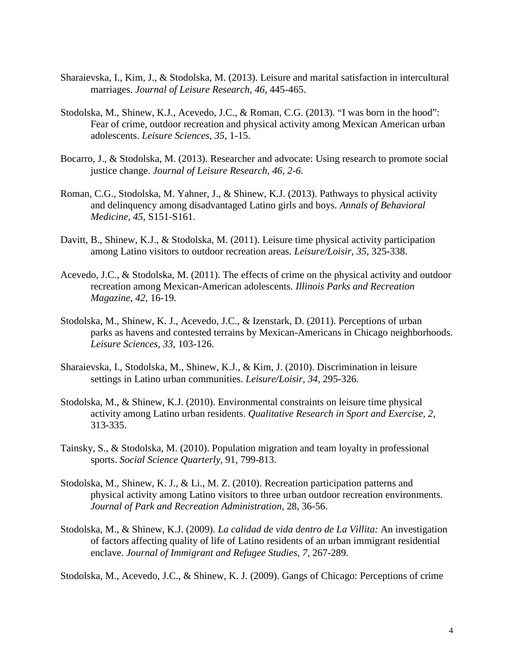- Sharaievska, I., Kim, J., & Stodolska, M. (2013). Leisure and marital satisfaction in intercultural marriages. *Journal of Leisure Research, 46,* 445-465.
- Stodolska, M., Shinew, K.J., Acevedo, J.C., & Roman, C.G. (2013). "I was born in the hood": Fear of crime, outdoor recreation and physical activity among Mexican American urban adolescents. *Leisure Sciences, 35,* 1-15.
- Bocarro, J., & Stodolska, M. (2013). Researcher and advocate: Using research to promote social justice change. *Journal of Leisure Research, 46, 2-6.*
- Roman, C.G., Stodolska, M. Yahner, J., & Shinew, K.J. (2013). Pathways to physical activity and delinquency among disadvantaged Latino girls and boys. *Annals of Behavioral Medicine, 45,* S151-S161.
- Davitt, B., Shinew, K.J., & Stodolska, M. (2011). Leisure time physical activity participation among Latino visitors to outdoor recreation areas. *Leisure/Loisir, 35,* 325-338.
- Acevedo, J.C., & Stodolska, M. (2011). The effects of crime on the physical activity and outdoor recreation among Mexican-American adolescents. *Illinois Parks and Recreation Magazine, 42,* 16-19.
- Stodolska, M., Shinew, K. J., Acevedo, J.C., & Izenstark, D. (2011). Perceptions of urban parks as havens and contested terrains by Mexican-Americans in Chicago neighborhoods. *Leisure Sciences, 33,* 103-126.
- Sharaievska, I., Stodolska, M., Shinew, K.J., & Kim, J. (2010). Discrimination in leisure settings in Latino urban communities. *Leisure/Loisir, 34,* 295-326*.*
- Stodolska, M., & Shinew, K.J. (2010). Environmental constraints on leisure time physical activity among Latino urban residents. *Qualitative Research in Sport and Exercise, 2,*  313-335.
- Tainsky, S., & Stodolska, M. (2010). Population migration and team loyalty in professional sports. *Social Science Quarterly,* 91, 799-813.
- Stodolska, M., Shinew, K. J., & Li., M. Z. (2010). Recreation participation patterns and physical activity among Latino visitors to three urban outdoor recreation environments. *Journal of Park and Recreation Administration,* 28, 36-56.
- Stodolska, M., & Shinew, K.J. (2009). *La calidad de vida dentro de La Villita:* An investigation of factors affecting quality of life of Latino residents of an urban immigrant residential enclave. *Journal of Immigrant and Refugee Studies, 7,* 267-289.

Stodolska, M., Acevedo, J.C., & Shinew, K. J. (2009). Gangs of Chicago: Perceptions of crime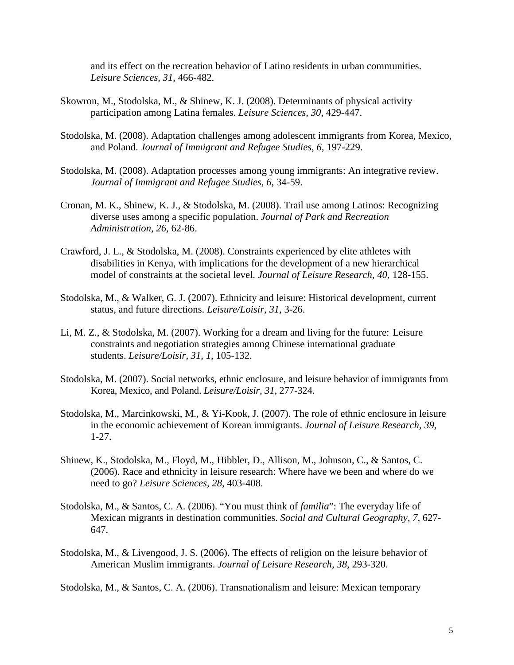and its effect on the recreation behavior of Latino residents in urban communities. *Leisure Sciences, 31,* 466-482.

- Skowron, M., Stodolska, M., & Shinew, K. J. (2008). Determinants of physical activity participation among Latina females. *Leisure Sciences, 30*, 429-447.
- Stodolska, M. (2008). Adaptation challenges among adolescent immigrants from Korea, Mexico, and Poland. *Journal of Immigrant and Refugee Studies, 6,* 197-229.
- Stodolska, M. (2008). Adaptation processes among young immigrants: An integrative review. *Journal of Immigrant and Refugee Studies, 6,* 34-59.
- Cronan, M. K., Shinew, K. J., & Stodolska, M. (2008). Trail use among Latinos: Recognizing diverse uses among a specific population. *Journal of Park and Recreation Administration, 26,* 62-86.
- Crawford, J. L., & Stodolska, M. (2008). Constraints experienced by elite athletes with disabilities in Kenya, with implications for the development of a new hierarchical model of constraints at the societal level. *Journal of Leisure Research, 40,* 128-155.
- Stodolska, M., & Walker, G. J. (2007). Ethnicity and leisure: Historical development, current status, and future directions. *Leisure/Loisir, 31,* 3-26.
- Li, M. Z., & Stodolska, M. (2007). Working for a dream and living for the future: Leisure constraints and negotiation strategies among Chinese international graduate students. *Leisure/Loisir, 31, 1,* 105-132.
- Stodolska, M. (2007). Social networks, ethnic enclosure, and leisure behavior of immigrants from Korea, Mexico, and Poland. *Leisure/Loisir, 31,* 277-324.
- Stodolska, M., Marcinkowski, M., & Yi-Kook, J. (2007). The role of ethnic enclosure in leisure in the economic achievement of Korean immigrants. *Journal of Leisure Research, 39,* 1-27.
- Shinew, K., Stodolska, M., Floyd, M., Hibbler, D., Allison, M., Johnson, C., & Santos, C. (2006). Race and ethnicity in leisure research: Where have we been and where do we need to go? *Leisure Sciences, 28*, 403-408.
- Stodolska, M., & Santos, C. A. (2006). "You must think of *familia*": The everyday life of Mexican migrants in destination communities. *Social and Cultural Geography, 7,* 627- 647.
- Stodolska, M., & Livengood, J. S. (2006). The effects of religion on the leisure behavior of American Muslim immigrants. *Journal of Leisure Research, 38,* 293-320.

Stodolska, M., & Santos, C. A. (2006). Transnationalism and leisure: Mexican temporary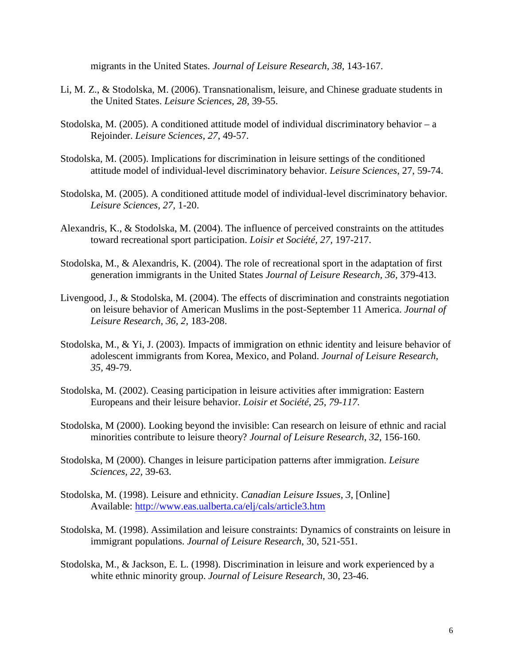migrants in the United States. *Journal of Leisure Research, 38,* 143-167.

- Li, M. Z., & Stodolska, M. (2006). Transnationalism, leisure, and Chinese graduate students in the United States. *Leisure Sciences, 28,* 39-55.
- Stodolska, M. (2005). A conditioned attitude model of individual discriminatory behavior a Rejoinder. *Leisure Sciences, 27,* 49-57.
- Stodolska, M. (2005). Implications for discrimination in leisure settings of the conditioned attitude model of individual-level discriminatory behavior. *Leisure Sciences*, 27, 59-74.
- Stodolska, M. (2005). A conditioned attitude model of individual-level discriminatory behavior. *Leisure Sciences, 27,* 1-20.
- Alexandris, K., & Stodolska, M. (2004). The influence of perceived constraints on the attitudes toward recreational sport participation. *Loisir et Société, 27,* 197-217.
- Stodolska, M., & Alexandris, K. (2004). The role of recreational sport in the adaptation of first generation immigrants in the United States *Journal of Leisure Research, 36,* 379-413.
- Livengood, J., & Stodolska, M. (2004). The effects of discrimination and constraints negotiation on leisure behavior of American Muslims in the post-September 11 America. *Journal of Leisure Research, 36, 2*, 183-208.
- Stodolska, M., & Yi, J. (2003). Impacts of immigration on ethnic identity and leisure behavior of adolescent immigrants from Korea, Mexico, and Poland. *Journal of Leisure Research, 35,* 49-79.
- Stodolska, M. (2002). Ceasing participation in leisure activities after immigration: Eastern Europeans and their leisure behavior. *Loisir et Société, 25, 79-117.*
- Stodolska, M (2000). Looking beyond the invisible: Can research on leisure of ethnic and racial minorities contribute to leisure theory? *Journal of Leisure Research*, *32*, 156-160.
- Stodolska, M (2000). Changes in leisure participation patterns after immigration. *Leisure Sciences, 22,* 39-63.
- Stodolska, M. (1998). Leisure and ethnicity. *Canadian Leisure Issues, 3*, [Online] Available:<http://www.eas.ualberta.ca/elj/cals/article3.htm>
- Stodolska, M. (1998). Assimilation and leisure constraints: Dynamics of constraints on leisure in immigrant populations. *Journal of Leisure Research*, 30, 521-551.
- Stodolska, M., & Jackson, E. L. (1998). Discrimination in leisure and work experienced by a white ethnic minority group. *Journal of Leisure Research*, 30, 23-46.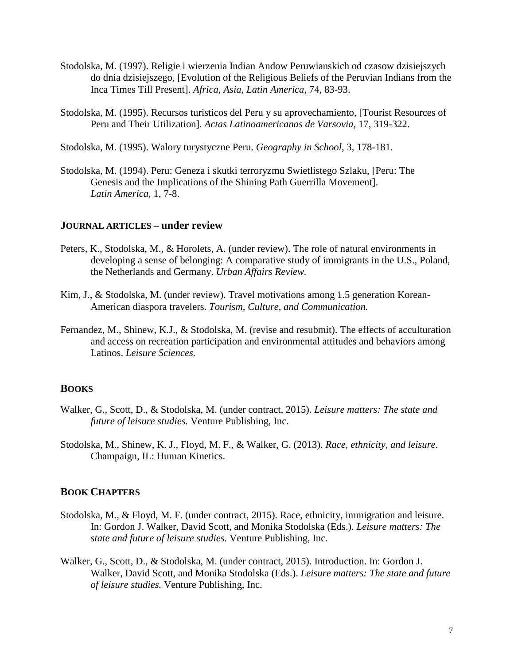- Stodolska, M. (1997). Religie i wierzenia Indian Andow Peruwianskich od czasow dzisiejszych do dnia dzisiejszego, [Evolution of the Religious Beliefs of the Peruvian Indians from the Inca Times Till Present]. *Africa, Asia, Latin America,* 74, 83-93.
- Stodolska, M. (1995). Recursos turisticos del Peru y su aprovechamiento, [Tourist Resources of Peru and Their Utilization]. *Actas Latinoamericanas de Varsovia,* 17, 319-322.
- Stodolska, M. (1995). Walory turystyczne Peru. *Geography in School,* 3, 178-181.
- Stodolska, M. (1994). Peru: Geneza i skutki terroryzmu Swietlistego Szlaku, [Peru: The Genesis and the Implications of the Shining Path Guerrilla Movement]. *Latin America,* 1, 7-8.

#### **JOURNAL ARTICLES – under review**

- Peters, K., Stodolska, M., & Horolets, A. (under review). The role of natural environments in developing a sense of belonging: A comparative study of immigrants in the U.S., Poland, the Netherlands and Germany. *Urban Affairs Review.*
- Kim, J., & Stodolska, M. (under review). Travel motivations among 1.5 generation Korean-American diaspora travelers. *Tourism, Culture, and Communication.*
- Fernandez, M., Shinew, K.J., & Stodolska, M. (revise and resubmit). The effects of acculturation and access on recreation participation and environmental attitudes and behaviors among Latinos. *Leisure Sciences.*

## **BOOKS**

- Walker, G., Scott, D., & Stodolska, M. (under contract, 2015). *Leisure matters: The state and future of leisure studies.* Venture Publishing, Inc.
- Stodolska, M., Shinew, K. J., Floyd, M. F., & Walker, G. (2013). *Race, ethnicity, and leisure*. Champaign, IL: Human Kinetics.

## **BOOK CHAPTERS**

- Stodolska, M., & Floyd, M. F. (under contract, 2015). Race, ethnicity, immigration and leisure. In: Gordon J. Walker, David Scott, and Monika Stodolska (Eds.). *Leisure matters: The state and future of leisure studies.* Venture Publishing, Inc.
- Walker, G., Scott, D., & Stodolska, M. (under contract, 2015). Introduction. In: Gordon J. Walker, David Scott, and Monika Stodolska (Eds.). *Leisure matters: The state and future of leisure studies.* Venture Publishing, Inc.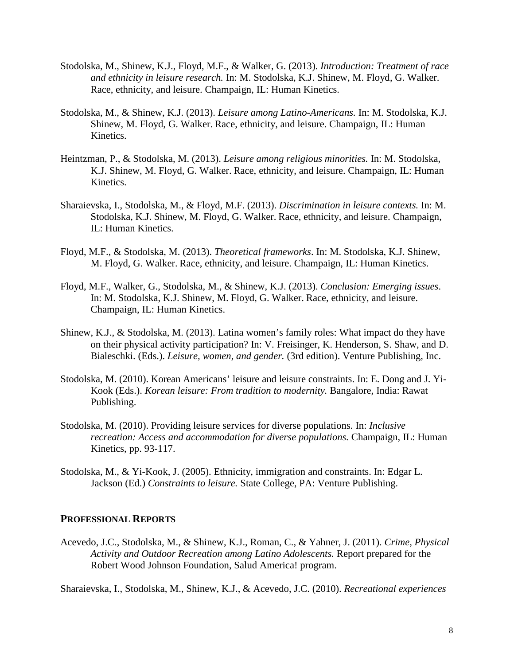- Stodolska, M., Shinew, K.J., Floyd, M.F., & Walker, G. (2013). *Introduction: Treatment of race and ethnicity in leisure research.* In: M. Stodolska, K.J. Shinew, M. Floyd, G. Walker. Race, ethnicity, and leisure. Champaign, IL: Human Kinetics.
- Stodolska, M., & Shinew, K.J. (2013). *Leisure among Latino-Americans.* In: M. Stodolska, K.J. Shinew, M. Floyd, G. Walker. Race, ethnicity, and leisure. Champaign, IL: Human Kinetics.
- Heintzman, P., & Stodolska, M. (2013). *Leisure among religious minorities.* In: M. Stodolska, K.J. Shinew, M. Floyd, G. Walker. Race, ethnicity, and leisure. Champaign, IL: Human Kinetics.
- Sharaievska, I., Stodolska, M., & Floyd, M.F. (2013). *Discrimination in leisure contexts.* In: M. Stodolska, K.J. Shinew, M. Floyd, G. Walker. Race, ethnicity, and leisure. Champaign, IL: Human Kinetics.
- Floyd, M.F., & Stodolska, M. (2013). *Theoretical frameworks*. In: M. Stodolska, K.J. Shinew, M. Floyd, G. Walker. Race, ethnicity, and leisure. Champaign, IL: Human Kinetics.
- Floyd, M.F., Walker, G., Stodolska, M., & Shinew, K.J. (2013). *Conclusion: Emerging issues*. In: M. Stodolska, K.J. Shinew, M. Floyd, G. Walker. Race, ethnicity, and leisure. Champaign, IL: Human Kinetics.
- Shinew, K.J., & Stodolska, M. (2013). Latina women's family roles: What impact do they have on their physical activity participation? In: V. Freisinger, K. Henderson, S. Shaw, and D. Bialeschki. (Eds.). *Leisure, women, and gender.* (3rd edition). Venture Publishing, Inc.
- Stodolska, M. (2010). Korean Americans' leisure and leisure constraints. In: E. Dong and J. Yi-Kook (Eds.). *Korean leisure: From tradition to modernity.* Bangalore, India: Rawat Publishing.
- Stodolska, M. (2010). Providing leisure services for diverse populations. In: *Inclusive recreation: Access and accommodation for diverse populations.* Champaign, IL: Human Kinetics, pp. 93-117.
- Stodolska, M., & Yi-Kook, J. (2005). Ethnicity, immigration and constraints. In: Edgar L. Jackson (Ed.) *Constraints to leisure.* State College, PA: Venture Publishing.

## **PROFESSIONAL REPORTS**

Acevedo, J.C., Stodolska, M., & Shinew, K.J., Roman, C., & Yahner, J. (2011). *Crime, Physical Activity and Outdoor Recreation among Latino Adolescents.* Report prepared for the Robert Wood Johnson Foundation, Salud America! program.

Sharaievska, I., Stodolska, M., Shinew, K.J., & Acevedo, J.C. (2010). *Recreational experiences*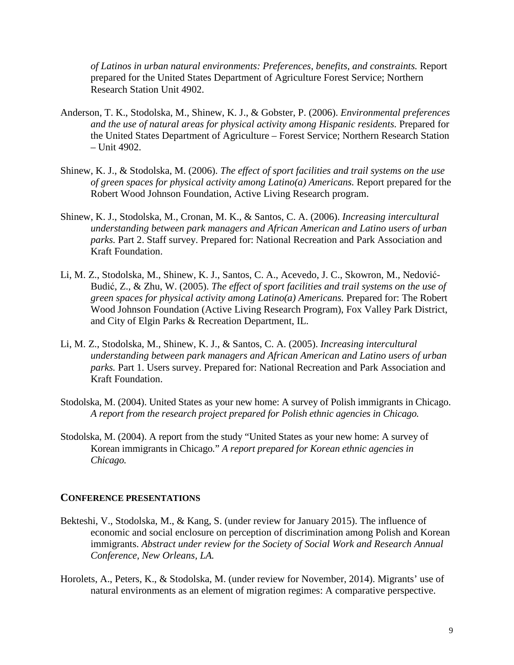*of Latinos in urban natural environments: Preferences, benefits, and constraints.* Report prepared for the United States Department of Agriculture Forest Service; Northern Research Station Unit 4902.

- Anderson, T. K., Stodolska, M., Shinew, K. J., & Gobster, P. (2006). *Environmental preferences and the use of natural areas for physical activity among Hispanic residents.* Prepared for the United States Department of Agriculture – Forest Service; Northern Research Station – Unit 4902.
- Shinew, K. J., & Stodolska, M. (2006). *The effect of sport facilities and trail systems on the use of green spaces for physical activity among Latino(a) Americans.* Report prepared for the Robert Wood Johnson Foundation, Active Living Research program.
- Shinew, K. J., Stodolska, M., Cronan, M. K., & Santos, C. A. (2006). *Increasing intercultural understanding between park managers and African American and Latino users of urban parks.* Part 2. Staff survey. Prepared for: National Recreation and Park Association and Kraft Foundation.
- Li, M. Z., Stodolska, M., Shinew, K. J., Santos, C. A., Acevedo, J. C., Skowron, M., Nedović-Budić, Z., & Zhu, W. (2005). *The effect of sport facilities and trail systems on the use of green spaces for physical activity among Latino(a) Americans.* Prepared for: The Robert Wood Johnson Foundation (Active Living Research Program), Fox Valley Park District, and City of Elgin Parks & Recreation Department, IL.
- Li, M. Z., Stodolska, M., Shinew, K. J., & Santos, C. A. (2005). *Increasing intercultural understanding between park managers and African American and Latino users of urban parks.* Part 1. Users survey. Prepared for: National Recreation and Park Association and Kraft Foundation.
- Stodolska, M. (2004). United States as your new home: A survey of Polish immigrants in Chicago. *A report from the research project prepared for Polish ethnic agencies in Chicago.*
- Stodolska, M. (2004). A report from the study "United States as your new home: A survey of Korean immigrants in Chicago*.*" *A report prepared for Korean ethnic agencies in Chicago.*

## **CONFERENCE PRESENTATIONS**

- Bekteshi, V., Stodolska, M., & Kang, S. (under review for January 2015). The influence of economic and social enclosure on perception of discrimination among Polish and Korean immigrants. *Abstract under review for the Society of Social Work and Research Annual Conference, New Orleans, LA.*
- Horolets, A., Peters, K., & Stodolska, M. (under review for November, 2014). Migrants' use of natural environments as an element of migration regimes: A comparative perspective.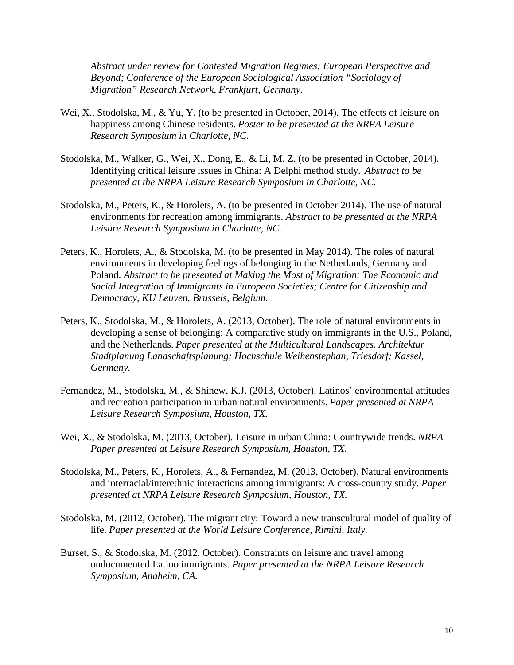*Abstract under review for Contested Migration Regimes: European Perspective and Beyond; Conference of the European Sociological Association "Sociology of Migration" Research Network, Frankfurt, Germany.*

- Wei, X., Stodolska, M., & Yu, Y. (to be presented in October, 2014). The effects of leisure on happiness among Chinese residents. *Poster to be presented at the NRPA Leisure Research Symposium in Charlotte, NC.*
- Stodolska, M., Walker, G., Wei, X., Dong, E., & Li, M. Z. (to be presented in October, 2014). Identifying critical leisure issues in China: A Delphi method study. *Abstract to be presented at the NRPA Leisure Research Symposium in Charlotte, NC.*
- Stodolska, M., Peters, K., & Horolets, A. (to be presented in October 2014). The use of natural environments for recreation among immigrants. *Abstract to be presented at the NRPA Leisure Research Symposium in Charlotte, NC.*
- Peters, K., Horolets, A., & Stodolska, M. (to be presented in May 2014). The roles of natural environments in developing feelings of belonging in the Netherlands, Germany and Poland. *Abstract to be presented at Making the Most of Migration: The Economic and Social Integration of Immigrants in European Societies; Centre for Citizenship and Democracy, KU Leuven, Brussels, Belgium.*
- Peters, K., Stodolska, M., & Horolets, A. (2013, October). The role of natural environments in developing a sense of belonging: A comparative study on immigrants in the U.S., Poland, and the Netherlands. *Paper presented at the Multicultural Landscapes. Architektur Stadtplanung Landschaftsplanung; Hochschule Weihenstephan, Triesdorf; Kassel, Germany.*
- Fernandez, M., Stodolska, M., & Shinew, K.J. (2013, October). Latinos' environmental attitudes and recreation participation in urban natural environments. *Paper presented at NRPA Leisure Research Symposium, Houston, TX.*
- Wei, X., & Stodolska, M. (2013, October). Leisure in urban China: Countrywide trends. *NRPA Paper presented at Leisure Research Symposium, Houston, TX.*
- Stodolska, M., Peters, K., Horolets, A., & Fernandez, M. (2013, October). Natural environments and interracial/interethnic interactions among immigrants: A cross-country study. *Paper presented at NRPA Leisure Research Symposium, Houston, TX.*
- Stodolska, M. (2012, October). The migrant city: Toward a new transcultural model of quality of life. *Paper presented at the World Leisure Conference, Rimini, Italy.*
- Burset, S., & Stodolska, M. (2012, October). Constraints on leisure and travel among undocumented Latino immigrants. *Paper presented at the NRPA Leisure Research Symposium, Anaheim, CA.*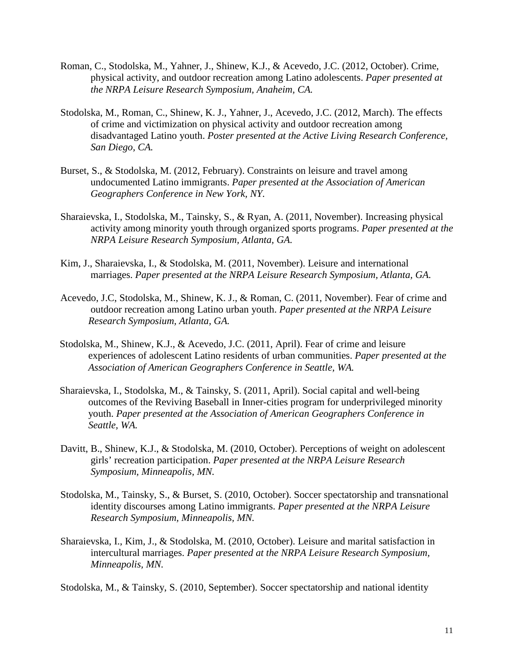- Roman, C., Stodolska, M., Yahner, J., Shinew, K.J., & Acevedo, J.C. (2012, October). Crime, physical activity, and outdoor recreation among Latino adolescents. *Paper presented at the NRPA Leisure Research Symposium, Anaheim, CA.*
- Stodolska, M., Roman, C., Shinew, K. J., Yahner, J., Acevedo, J.C. (2012, March). The effects of crime and victimization on physical activity and outdoor recreation among disadvantaged Latino youth. *Poster presented at the Active Living Research Conference, San Diego, CA.*
- Burset, S., & Stodolska, M. (2012, February). Constraints on leisure and travel among undocumented Latino immigrants. *Paper presented at the Association of American Geographers Conference in New York, NY.*
- Sharaievska, I., Stodolska, M., Tainsky, S., & Ryan, A. (2011, November). Increasing physical activity among minority youth through organized sports programs. *Paper presented at the NRPA Leisure Research Symposium, Atlanta, GA.*
- Kim, J., Sharaievska, I., & Stodolska, M. (2011, November). Leisure and international marriages. *Paper presented at the NRPA Leisure Research Symposium, Atlanta, GA.*
- Acevedo, J.C, Stodolska, M., Shinew, K. J., & Roman, C. (2011, November). Fear of crime and outdoor recreation among Latino urban youth. *Paper presented at the NRPA Leisure Research Symposium, Atlanta, GA.*
- Stodolska, M., Shinew, K.J., & Acevedo, J.C. (2011, April). Fear of crime and leisure experiences of adolescent Latino residents of urban communities. *Paper presented at the Association of American Geographers Conference in Seattle, WA.*
- Sharaievska, I., Stodolska, M., & Tainsky, S. (2011, April). Social capital and well-being outcomes of the Reviving Baseball in Inner-cities program for underprivileged minority youth. *Paper presented at the Association of American Geographers Conference in Seattle, WA.*
- Davitt, B., Shinew, K.J., & Stodolska, M. (2010, October). Perceptions of weight on adolescent girls' recreation participation. *Paper presented at the NRPA Leisure Research Symposium, Minneapolis, MN.*
- Stodolska, M., Tainsky, S., & Burset, S. (2010, October). Soccer spectatorship and transnational identity discourses among Latino immigrants. *Paper presented at the NRPA Leisure Research Symposium, Minneapolis, MN.*
- Sharaievska, I., Kim, J., & Stodolska, M. (2010, October). Leisure and marital satisfaction in intercultural marriages. *Paper presented at the NRPA Leisure Research Symposium, Minneapolis, MN.*

Stodolska, M., & Tainsky, S. (2010, September). Soccer spectatorship and national identity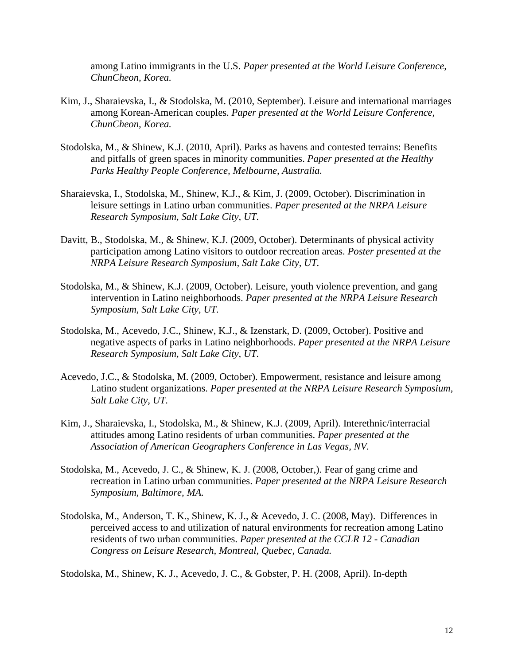among Latino immigrants in the U.S. *Paper presented at the World Leisure Conference, ChunCheon, Korea.*

- Kim, J., Sharaievska, I., & Stodolska, M. (2010, September). Leisure and international marriages among Korean-American couples. *Paper presented at the World Leisure Conference, ChunCheon, Korea.*
- Stodolska, M., & Shinew, K.J. (2010, April). Parks as havens and contested terrains: Benefits and pitfalls of green spaces in minority communities. *Paper presented at the Healthy Parks Healthy People Conference, Melbourne, Australia.*
- Sharaievska, I., Stodolska, M., Shinew, K.J., & Kim, J. (2009, October). Discrimination in leisure settings in Latino urban communities. *Paper presented at the NRPA Leisure Research Symposium, Salt Lake City, UT.*
- Davitt, B., Stodolska, M., & Shinew, K.J. (2009, October). Determinants of physical activity participation among Latino visitors to outdoor recreation areas. *Poster presented at the NRPA Leisure Research Symposium, Salt Lake City, UT.*
- Stodolska, M., & Shinew, K.J. (2009, October). Leisure, youth violence prevention, and gang intervention in Latino neighborhoods. *Paper presented at the NRPA Leisure Research Symposium, Salt Lake City, UT.*
- Stodolska, M., Acevedo, J.C., Shinew, K.J., & Izenstark, D. (2009, October). Positive and negative aspects of parks in Latino neighborhoods. *Paper presented at the NRPA Leisure Research Symposium, Salt Lake City, UT.*
- Acevedo, J.C., & Stodolska, M. (2009, October). Empowerment, resistance and leisure among Latino student organizations. *Paper presented at the NRPA Leisure Research Symposium, Salt Lake City, UT.*
- Kim, J., Sharaievska, I., Stodolska, M., & Shinew, K.J. (2009, April). Interethnic/interracial attitudes among Latino residents of urban communities. *Paper presented at the Association of American Geographers Conference in Las Vegas, NV.*
- Stodolska, M., Acevedo, J. C., & Shinew, K. J. (2008, October,). Fear of gang crime and recreation in Latino urban communities. *Paper presented at the NRPA Leisure Research Symposium, Baltimore, MA.*
- Stodolska, M., Anderson, T. K., Shinew, K. J., & Acevedo, J. C. (2008, May). Differences in perceived access to and utilization of natural environments for recreation among Latino residents of two urban communities. *Paper presented at the CCLR 12 - Canadian Congress on Leisure Research, Montreal, Quebec, Canada.*

Stodolska, M., Shinew, K. J., Acevedo, J. C., & Gobster, P. H. (2008, April). In-depth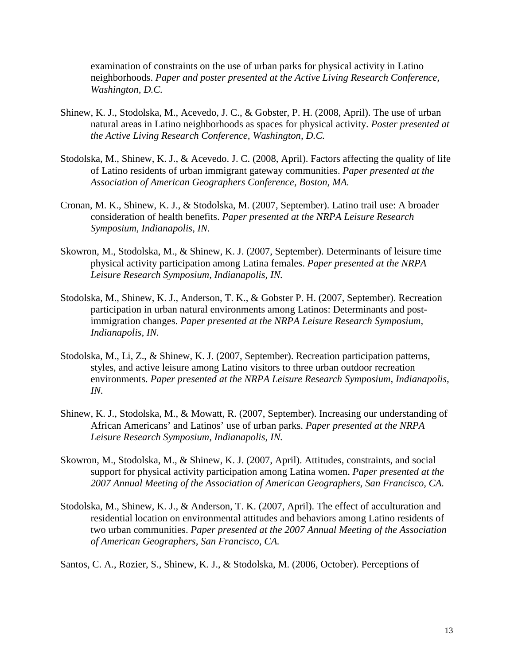examination of constraints on the use of urban parks for physical activity in Latino neighborhoods. *Paper and poster presented at the Active Living Research Conference, Washington, D.C.*

- Shinew, K. J., Stodolska, M., Acevedo, J. C., & Gobster, P. H. (2008, April). The use of urban natural areas in Latino neighborhoods as spaces for physical activity. *Poster presented at the Active Living Research Conference, Washington, D.C.*
- Stodolska, M., Shinew, K. J., & Acevedo. J. C. (2008, April). Factors affecting the quality of life of Latino residents of urban immigrant gateway communities. *Paper presented at the Association of American Geographers Conference, Boston, MA.*
- Cronan, M. K., Shinew, K. J., & Stodolska, M. (2007, September). Latino trail use: A broader consideration of health benefits. *Paper presented at the NRPA Leisure Research Symposium, Indianapolis, IN.*
- Skowron, M., Stodolska, M., & Shinew, K. J. (2007, September). Determinants of leisure time physical activity participation among Latina females. *Paper presented at the NRPA Leisure Research Symposium, Indianapolis, IN.*
- Stodolska, M., Shinew, K. J., Anderson, T. K., & Gobster P. H. (2007, September). Recreation participation in urban natural environments among Latinos: Determinants and postimmigration changes. *Paper presented at the NRPA Leisure Research Symposium, Indianapolis, IN.*
- Stodolska, M., Li, Z., & Shinew, K. J. (2007, September). Recreation participation patterns, styles, and active leisure among Latino visitors to three urban outdoor recreation environments. *Paper presented at the NRPA Leisure Research Symposium, Indianapolis, IN.*
- Shinew, K. J., Stodolska, M., & Mowatt, R. (2007, September). Increasing our understanding of African Americans' and Latinos' use of urban parks. *Paper presented at the NRPA Leisure Research Symposium, Indianapolis, IN.*
- Skowron, M., Stodolska, M., & Shinew, K. J. (2007, April). Attitudes, constraints, and social support for physical activity participation among Latina women. *Paper presented at the 2007 Annual Meeting of the Association of American Geographers, San Francisco, CA.*
- Stodolska, M., Shinew, K. J., & Anderson, T. K. (2007, April). The effect of acculturation and residential location on environmental attitudes and behaviors among Latino residents of two urban communities. *Paper presented at the 2007 Annual Meeting of the Association of American Geographers, San Francisco, CA.*

Santos, C. A., Rozier, S., Shinew, K. J., & Stodolska, M. (2006, October). Perceptions of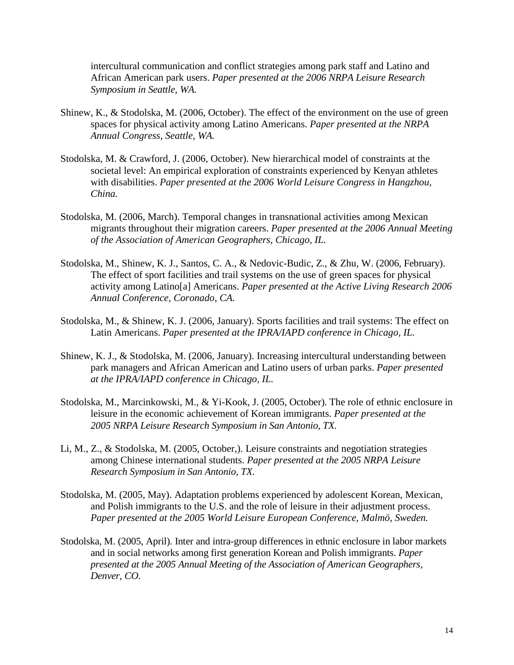intercultural communication and conflict strategies among park staff and Latino and African American park users. *Paper presented at the 2006 NRPA Leisure Research Symposium in Seattle, WA.*

- Shinew, K., & Stodolska, M. (2006, October). The effect of the environment on the use of green spaces for physical activity among Latino Americans. *Paper presented at the NRPA Annual Congress, Seattle, WA.*
- Stodolska, M. & Crawford, J. (2006, October). New hierarchical model of constraints at the societal level: An empirical exploration of constraints experienced by Kenyan athletes with disabilities. *Paper presented at the 2006 World Leisure Congress in Hangzhou, China.*
- Stodolska, M. (2006, March). Temporal changes in transnational activities among Mexican migrants throughout their migration careers. *Paper presented at the 2006 Annual Meeting of the Association of American Geographers, Chicago, IL.*
- Stodolska, M., Shinew, K. J., Santos, C. A., & Nedovic-Budic, Z., & Zhu, W. (2006, February). The effect of sport facilities and trail systems on the use of green spaces for physical activity among Latino[a] Americans. *Paper presented at the Active Living Research 2006 Annual Conference, Coronado, CA.*
- Stodolska, M., & Shinew, K. J. (2006, January). Sports facilities and trail systems: The effect on Latin Americans. *Paper presented at the IPRA/IAPD conference in Chicago, IL.*
- Shinew, K. J., & Stodolska, M. (2006, January). Increasing intercultural understanding between park managers and African American and Latino users of urban parks. *Paper presented at the IPRA/IAPD conference in Chicago, IL.*
- Stodolska, M., Marcinkowski, M., & Yi-Kook, J. (2005, October). The role of ethnic enclosure in leisure in the economic achievement of Korean immigrants. *Paper presented at the 2005 NRPA Leisure Research Symposium in San Antonio, TX.*
- Li, M., Z., & Stodolska, M. (2005, October,). Leisure constraints and negotiation strategies among Chinese international students. *Paper presented at the 2005 NRPA Leisure Research Symposium in San Antonio, TX.*
- Stodolska, M. (2005, May). Adaptation problems experienced by adolescent Korean, Mexican, and Polish immigrants to the U.S. and the role of leisure in their adjustment process. *Paper presented at the 2005 World Leisure European Conference, Malmö, Sweden.*
- Stodolska, M. (2005, April). Inter and intra-group differences in ethnic enclosure in labor markets and in social networks among first generation Korean and Polish immigrants. *Paper presented at the 2005 Annual Meeting of the Association of American Geographers, Denver, CO.*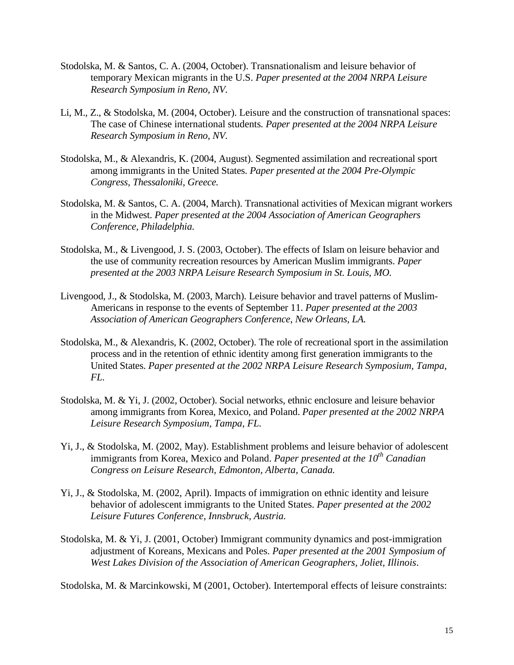- Stodolska, M. & Santos, C. A. (2004, October). Transnationalism and leisure behavior of temporary Mexican migrants in the U.S. *Paper presented at the 2004 NRPA Leisure Research Symposium in Reno, NV.*
- Li, M., Z., & Stodolska, M. (2004, October). Leisure and the construction of transnational spaces: The case of Chinese international students*. Paper presented at the 2004 NRPA Leisure Research Symposium in Reno, NV.*
- Stodolska, M., & Alexandris, K. (2004, August). Segmented assimilation and recreational sport among immigrants in the United States. *Paper presented at the 2004 Pre-Olympic Congress, Thessaloniki, Greece.*
- Stodolska, M. & Santos, C. A. (2004, March). Transnational activities of Mexican migrant workers in the Midwest. *Paper presented at the 2004 Association of American Geographers Conference, Philadelphia.*
- Stodolska, M., & Livengood, J. S. (2003, October). The effects of Islam on leisure behavior and the use of community recreation resources by American Muslim immigrants. *Paper presented at the 2003 NRPA Leisure Research Symposium in St. Louis, MO.*
- Livengood, J., & Stodolska, M. (2003, March). Leisure behavior and travel patterns of Muslim-Americans in response to the events of September 11. *Paper presented at the 2003 Association of American Geographers Conference*, *New Orleans, LA.*
- Stodolska, M., & Alexandris, K. (2002, October). The role of recreational sport in the assimilation process and in the retention of ethnic identity among first generation immigrants to the United States. *Paper presented at the 2002 NRPA Leisure Research Symposium, Tampa, FL.*
- Stodolska, M. & Yi, J. (2002, October). Social networks, ethnic enclosure and leisure behavior among immigrants from Korea, Mexico, and Poland. *Paper presented at the 2002 NRPA Leisure Research Symposium, Tampa, FL.*
- Yi, J., & Stodolska, M. (2002, May). Establishment problems and leisure behavior of adolescent immigrants from Korea, Mexico and Poland. *Paper presented at the 10<sup>th</sup> Canadian Congress on Leisure Research, Edmonton, Alberta, Canada.*
- Yi, J., & Stodolska, M. (2002, April). Impacts of immigration on ethnic identity and leisure behavior of adolescent immigrants to the United States. *Paper presented at the 2002 Leisure Futures Conference, Innsbruck, Austria.*
- Stodolska, M. & Yi, J. (2001, October) Immigrant community dynamics and post-immigration adjustment of Koreans, Mexicans and Poles. *Paper presented at the 2001 Symposium of West Lakes Division of the Association of American Geographers, Joliet, Illinois*.

Stodolska, M. & Marcinkowski, M (2001, October). Intertemporal effects of leisure constraints: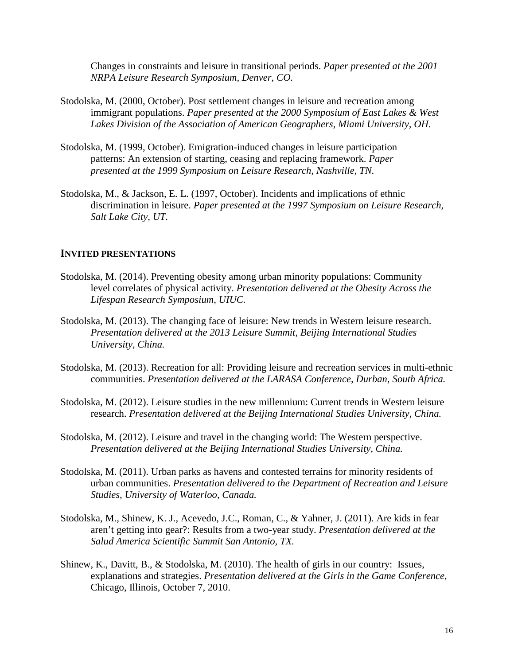Changes in constraints and leisure in transitional periods. *Paper presented at the 2001 NRPA Leisure Research Symposium, Denver, CO.*

- Stodolska, M. (2000, October). Post settlement changes in leisure and recreation among immigrant populations. *Paper presented at the 2000 Symposium of East Lakes & West Lakes Division of the Association of American Geographers, Miami University, OH.*
- Stodolska, M. (1999, October). Emigration-induced changes in leisure participation patterns: An extension of starting, ceasing and replacing framework. *Paper presented at the 1999 Symposium on Leisure Research, Nashville, TN.*
- Stodolska, M., & Jackson, E. L. (1997, October). Incidents and implications of ethnic discrimination in leisure. *Paper presented at the 1997 Symposium on Leisure Research, Salt Lake City, UT.*

#### **INVITED PRESENTATIONS**

- Stodolska, M. (2014). Preventing obesity among urban minority populations: Community level correlates of physical activity. *Presentation delivered at the Obesity Across the Lifespan Research Symposium, UIUC.*
- Stodolska, M. (2013). The changing face of leisure: New trends in Western leisure research. *Presentation delivered at the 2013 Leisure Summit, Beijing International Studies University, China.*
- Stodolska, M. (2013). Recreation for all: Providing leisure and recreation services in multi-ethnic communities. *Presentation delivered at the LARASA Conference, Durban, South Africa.*
- Stodolska, M. (2012). Leisure studies in the new millennium: Current trends in Western leisure research. *Presentation delivered at the Beijing International Studies University, China.*
- Stodolska, M. (2012). Leisure and travel in the changing world: The Western perspective. *Presentation delivered at the Beijing International Studies University, China.*
- Stodolska, M. (2011). Urban parks as havens and contested terrains for minority residents of urban communities. *Presentation delivered to the Department of Recreation and Leisure Studies, University of Waterloo, Canada.*
- Stodolska, M., Shinew, K. J., Acevedo, J.C., Roman, C., & Yahner, J. (2011). Are kids in fear aren't getting into gear?: Results from a two-year study. *Presentation delivered at the Salud America Scientific Summit San Antonio, TX.*
- Shinew, K., Davitt, B., & Stodolska, M. (2010). The health of girls in our country: Issues, explanations and strategies. *Presentation delivered at the Girls in the Game Conference*, Chicago, Illinois, October 7, 2010.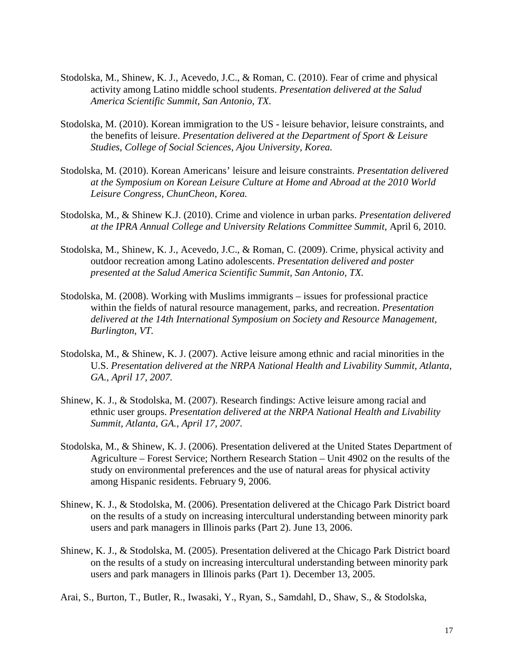- Stodolska, M., Shinew, K. J., Acevedo, J.C., & Roman, C. (2010). Fear of crime and physical activity among Latino middle school students. *Presentation delivered at the Salud America Scientific Summit, San Antonio, TX.*
- Stodolska, M. (2010). Korean immigration to the US leisure behavior, leisure constraints, and the benefits of leisure. *Presentation delivered at the Department of Sport & Leisure Studies, College of Social Sciences, Ajou University, Korea.*
- Stodolska, M. (2010). Korean Americans' leisure and leisure constraints. *Presentation delivered at the Symposium on Korean Leisure Culture at Home and Abroad at the 2010 World Leisure Congress, ChunCheon, Korea.*
- Stodolska, M., & Shinew K.J. (2010). Crime and violence in urban parks. *Presentation delivered at the IPRA Annual College and University Relations Committee Summit,* April 6, 2010.
- Stodolska, M., Shinew, K. J., Acevedo, J.C., & Roman, C. (2009). Crime, physical activity and outdoor recreation among Latino adolescents. *Presentation delivered and poster presented at the Salud America Scientific Summit, San Antonio, TX.*
- Stodolska, M. (2008). Working with Muslims immigrants issues for professional practice within the fields of natural resource management, parks, and recreation. *Presentation delivered at the 14th International Symposium on Society and Resource Management, Burlington, VT.*
- Stodolska, M., & Shinew, K. J. (2007). Active leisure among ethnic and racial minorities in the U.S. *Presentation delivered at the NRPA National Health and Livability Summit, Atlanta, GA., April 17, 2007.*
- Shinew, K. J., & Stodolska, M. (2007). Research findings: Active leisure among racial and ethnic user groups. *Presentation delivered at the NRPA National Health and Livability Summit, Atlanta, GA., April 17, 2007.*
- Stodolska, M., & Shinew, K. J. (2006). Presentation delivered at the United States Department of Agriculture – Forest Service; Northern Research Station – Unit 4902 on the results of the study on environmental preferences and the use of natural areas for physical activity among Hispanic residents. February 9, 2006.
- Shinew, K. J., & Stodolska, M. (2006). Presentation delivered at the Chicago Park District board on the results of a study on increasing intercultural understanding between minority park users and park managers in Illinois parks (Part 2). June 13, 2006.
- Shinew, K. J., & Stodolska, M. (2005). Presentation delivered at the Chicago Park District board on the results of a study on increasing intercultural understanding between minority park users and park managers in Illinois parks (Part 1). December 13, 2005.
- Arai, S., Burton, T., Butler, R., Iwasaki, Y., Ryan, S., Samdahl, D., Shaw, S., & Stodolska,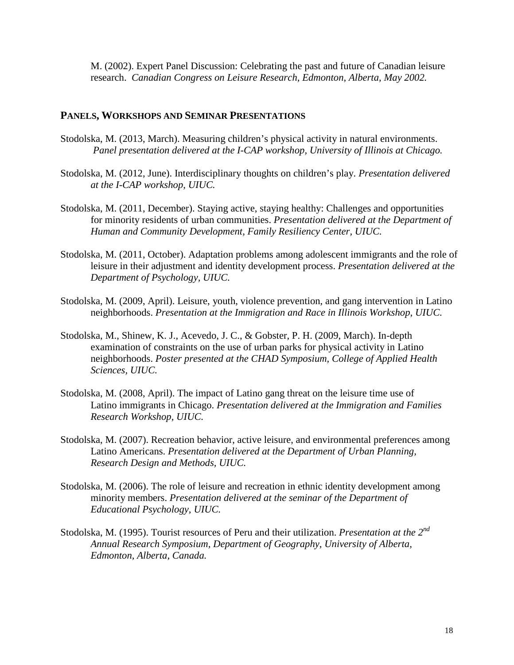M. (2002). Expert Panel Discussion: Celebrating the past and future of Canadian leisure research. *Canadian Congress on Leisure Research, Edmonton, Alberta, May 2002.*

## **PANELS, WORKSHOPS AND SEMINAR PRESENTATIONS**

- Stodolska, M. (2013, March). Measuring children's physical activity in natural environments. *Panel presentation delivered at the I-CAP workshop, University of Illinois at Chicago.*
- Stodolska, M. (2012, June). Interdisciplinary thoughts on children's play. *Presentation delivered at the I-CAP workshop, UIUC.*
- Stodolska, M. (2011, December). Staying active, staying healthy: Challenges and opportunities for minority residents of urban communities. *Presentation delivered at the Department of Human and Community Development, Family Resiliency Center, UIUC.*
- Stodolska, M. (2011, October). Adaptation problems among adolescent immigrants and the role of leisure in their adjustment and identity development process. *Presentation delivered at the Department of Psychology, UIUC.*
- Stodolska, M. (2009, April). Leisure, youth, violence prevention, and gang intervention in Latino neighborhoods. *Presentation at the Immigration and Race in Illinois Workshop, UIUC.*
- Stodolska, M., Shinew, K. J., Acevedo, J. C., & Gobster, P. H. (2009, March). In-depth examination of constraints on the use of urban parks for physical activity in Latino neighborhoods. *Poster presented at the CHAD Symposium, College of Applied Health Sciences, UIUC.*
- Stodolska, M. (2008, April). The impact of Latino gang threat on the leisure time use of Latino immigrants in Chicago. *Presentation delivered at the Immigration and Families Research Workshop, UIUC.*
- Stodolska, M. (2007). Recreation behavior, active leisure, and environmental preferences among Latino Americans. *Presentation delivered at the Department of Urban Planning, Research Design and Methods, UIUC.*
- Stodolska, M. (2006). The role of leisure and recreation in ethnic identity development among minority members. *Presentation delivered at the seminar of the Department of Educational Psychology, UIUC.*
- Stodolska, M. (1995). Tourist resources of Peru and their utilization. *Presentation at the 2nd Annual Research Symposium, Department of Geography, University of Alberta, Edmonton, Alberta, Canada.*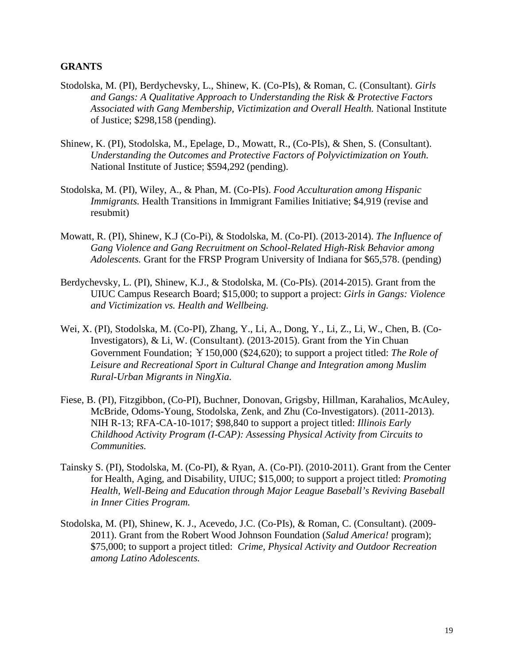## **GRANTS**

- Stodolska, M. (PI), Berdychevsky, L., Shinew, K. (Co-PIs), & Roman, C. (Consultant). *Girls and Gangs: A Qualitative Approach to Understanding the Risk & Protective Factors Associated with Gang Membership, Victimization and Overall Health.* National Institute of Justice; \$298,158 (pending).
- Shinew, K. (PI), Stodolska, M., Epelage, D., Mowatt, R., (Co-PIs), & Shen, S. (Consultant). *Understanding the Outcomes and Protective Factors of Polyvictimization on Youth.* National Institute of Justice; \$594,292 (pending).
- Stodolska, M. (PI), Wiley, A., & Phan, M. (Co-PIs). *Food Acculturation among Hispanic Immigrants.* Health Transitions in Immigrant Families Initiative; \$4,919 (revise and resubmit)
- Mowatt, R. (PI), Shinew, K.J (Co-Pi), & Stodolska, M. (Co-PI). (2013-2014). *The Influence of Gang Violence and Gang Recruitment on School-Related High-Risk Behavior among Adolescents.* Grant for the FRSP Program University of Indiana for \$65,578. (pending)
- Berdychevsky, L. (PI), Shinew, K.J., & Stodolska, M. (Co-PIs). (2014-2015). Grant from the UIUC Campus Research Board; \$15,000; to support a project: *Girls in Gangs: Violence and Victimization vs. Health and Wellbeing.*
- Wei, X. (PI), Stodolska, M. (Co-PI), Zhang, Y., Li, A., Dong, Y., Li, Z., Li, W., Chen, B. (Co-Investigators), & Li, W. (Consultant). (2013-2015). Grant from the Yin Chuan Government Foundation; ¥150,000 (\$24,620); to support a project titled: *The Role of Leisure and Recreational Sport in Cultural Change and Integration among Muslim Rural-Urban Migrants in NingXia.*
- Fiese, B. (PI), Fitzgibbon, (Co-PI), Buchner, Donovan, Grigsby, Hillman, Karahalios, McAuley, McBride, Odoms-Young, Stodolska, Zenk, and Zhu (Co-Investigators). (2011-2013). NIH R-13; RFA-CA-10-1017; \$98,840 to support a project titled: *Illinois Early Childhood Activity Program (I-CAP): Assessing Physical Activity from Circuits to Communities.*
- Tainsky S. (PI), Stodolska, M. (Co-PI), & Ryan, A. (Co-PI). (2010-2011). Grant from the Center for Health, Aging, and Disability, UIUC; \$15,000; to support a project titled: *Promoting Health, Well-Being and Education through Major League Baseball's Reviving Baseball in Inner Cities Program.*
- Stodolska, M. (PI), Shinew, K. J., Acevedo, J.C. (Co-PIs), & Roman, C. (Consultant). (2009- 2011). Grant from the Robert Wood Johnson Foundation (*Salud America!* program); \$75,000; to support a project titled: *Crime, Physical Activity and Outdoor Recreation among Latino Adolescents.*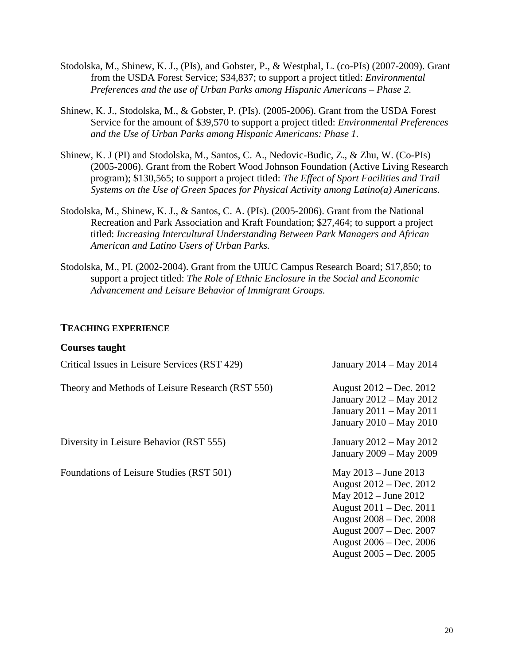- Stodolska, M., Shinew, K. J., (PIs), and Gobster, P., & Westphal, L. (co-PIs) (2007-2009). Grant from the USDA Forest Service; \$34,837; to support a project titled: *Environmental Preferences and the use of Urban Parks among Hispanic Americans – Phase 2.*
- Shinew, K. J., Stodolska, M., & Gobster, P. (PIs). (2005-2006). Grant from the USDA Forest Service for the amount of \$39,570 to support a project titled: *Environmental Preferences and the Use of Urban Parks among Hispanic Americans: Phase 1.*
- Shinew, K. J (PI) and Stodolska, M., Santos, C. A., Nedovic-Budic, Z., & Zhu, W. (Co-PIs) (2005-2006). Grant from the Robert Wood Johnson Foundation (Active Living Research program); \$130,565; to support a project titled: *The Effect of Sport Facilities and Trail Systems on the Use of Green Spaces for Physical Activity among Latino(a) Americans.*
- Stodolska, M., Shinew, K. J., & Santos, C. A. (PIs). (2005-2006). Grant from the National Recreation and Park Association and Kraft Foundation; \$27,464; to support a project titled: *Increasing Intercultural Understanding Between Park Managers and African American and Latino Users of Urban Parks.*
- Stodolska, M., PI. (2002-2004). Grant from the UIUC Campus Research Board; \$17,850; to support a project titled: *The Role of Ethnic Enclosure in the Social and Economic Advancement and Leisure Behavior of Immigrant Groups.*

## **TEACHING EXPERIENCE**

#### **Courses taught**

| Critical Issues in Leisure Services (RST 429)    | January 2014 – May 2014                                                                                                                                                                                                |
|--------------------------------------------------|------------------------------------------------------------------------------------------------------------------------------------------------------------------------------------------------------------------------|
| Theory and Methods of Leisure Research (RST 550) | August $2012 - Dec. 2012$<br>January 2012 – May 2012<br>January 2011 – May 2011<br>January 2010 - May 2010                                                                                                             |
| Diversity in Leisure Behavior (RST 555)          | January 2012 – May 2012<br>January 2009 – May 2009                                                                                                                                                                     |
| Foundations of Leisure Studies (RST 501)         | May $2013 -$ June $2013$<br>August 2012 – Dec. 2012<br>May $2012 -$ June $2012$<br>August 2011 – Dec. 2011<br>August 2008 – Dec. 2008<br>August 2007 – Dec. 2007<br>August 2006 – Dec. 2006<br>August 2005 – Dec. 2005 |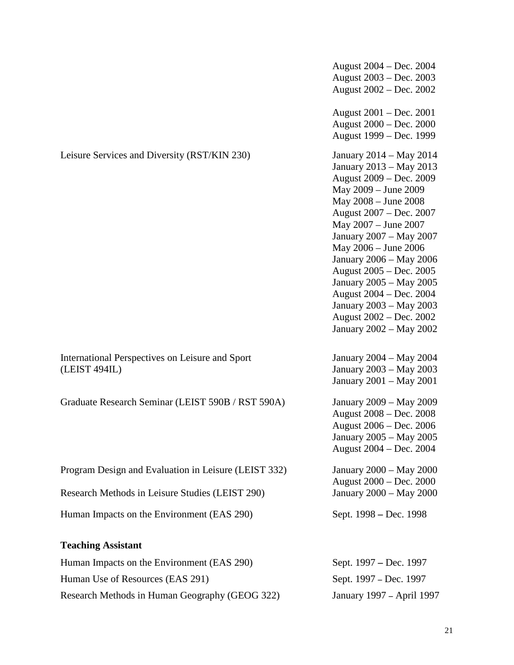|                                                                  | August 2004 – Dec. 2004<br>August 2003 – Dec. 2003<br>August 2002 – Dec. 2002                                                                                                                                                                                                                                                                                                                                                    |
|------------------------------------------------------------------|----------------------------------------------------------------------------------------------------------------------------------------------------------------------------------------------------------------------------------------------------------------------------------------------------------------------------------------------------------------------------------------------------------------------------------|
|                                                                  | August 2001 - Dec. 2001<br>August 2000 – Dec. 2000<br>August 1999 – Dec. 1999                                                                                                                                                                                                                                                                                                                                                    |
| Leisure Services and Diversity (RST/KIN 230)                     | January 2014 – May 2014<br>January 2013 – May 2013<br>August 2009 – Dec. 2009<br>May 2009 - June 2009<br>May 2008 - June 2008<br>August 2007 - Dec. 2007<br>May 2007 - June 2007<br>January 2007 - May 2007<br>May 2006 - June 2006<br>January 2006 - May 2006<br>August 2005 – Dec. 2005<br>January 2005 - May 2005<br>August 2004 – Dec. 2004<br>January 2003 – May 2003<br>August 2002 – Dec. 2002<br>January 2002 - May 2002 |
| International Perspectives on Leisure and Sport<br>(LEIST 494IL) | January 2004 – May 2004<br>January 2003 – May 2003<br>January 2001 – May 2001                                                                                                                                                                                                                                                                                                                                                    |
| Graduate Research Seminar (LEIST 590B / RST 590A)                | January 2009 - May 2009<br>August 2008 – Dec. 2008<br>August 2006 – Dec. 2006<br>January 2005 – May 2005<br>August 2004 - Dec. 2004                                                                                                                                                                                                                                                                                              |
| Program Design and Evaluation in Leisure (LEIST 332)             | January 2000 – May 2000<br>August 2000 – Dec. 2000                                                                                                                                                                                                                                                                                                                                                                               |
| Research Methods in Leisure Studies (LEIST 290)                  | January 2000 - May 2000                                                                                                                                                                                                                                                                                                                                                                                                          |
| Human Impacts on the Environment (EAS 290)                       | Sept. 1998 – Dec. 1998                                                                                                                                                                                                                                                                                                                                                                                                           |
| <b>Teaching Assistant</b>                                        |                                                                                                                                                                                                                                                                                                                                                                                                                                  |
| Human Impacts on the Environment (EAS 290)                       | Sept. 1997 – Dec. 1997                                                                                                                                                                                                                                                                                                                                                                                                           |

Human Use of Resources (EAS 291) Sept. 1997 – Dec. 1997

Research Methods in Human Geography (GEOG 322) January 1997 **–** April 1997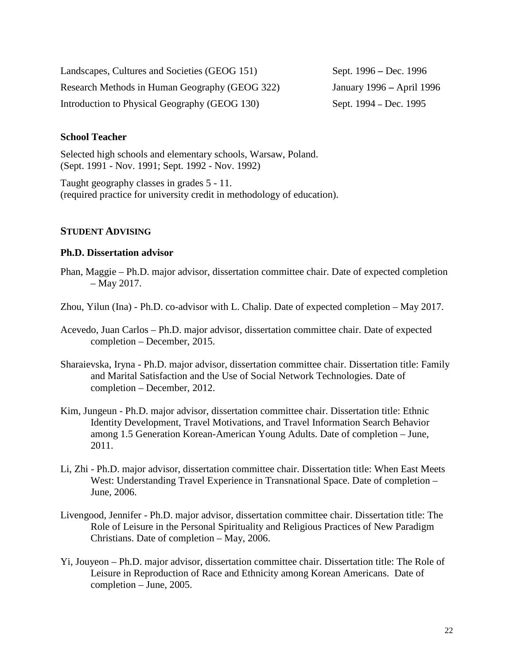Landscapes, Cultures and Societies (GEOG 151) Sept. 1996 **–** Dec. 1996 Research Methods in Human Geography (GEOG 322) January 1996 **–** April 1996 Introduction to Physical Geography (GEOG 130) Sept. 1994 – Dec. 1995

## **School Teacher**

Selected high schools and elementary schools, Warsaw, Poland. (Sept. 1991 - Nov. 1991; Sept. 1992 - Nov. 1992)

Taught geography classes in grades 5 - 11. (required practice for university credit in methodology of education).

## **STUDENT ADVISING**

#### **Ph.D. Dissertation advisor**

- Phan, Maggie Ph.D. major advisor, dissertation committee chair. Date of expected completion – May 2017.
- Zhou, Yilun (Ina) Ph.D. co-advisor with L. Chalip. Date of expected completion May 2017.
- Acevedo, Juan Carlos Ph.D. major advisor, dissertation committee chair. Date of expected completion – December, 2015.
- Sharaievska, Iryna Ph.D. major advisor, dissertation committee chair. Dissertation title: Family and Marital Satisfaction and the Use of Social Network Technologies. Date of completion – December, 2012.
- Kim, Jungeun Ph.D. major advisor, dissertation committee chair. Dissertation title: Ethnic Identity Development, Travel Motivations, and Travel Information Search Behavior among 1.5 Generation Korean-American Young Adults. Date of completion – June, 2011.
- Li, Zhi Ph.D. major advisor, dissertation committee chair. Dissertation title: When East Meets West: Understanding Travel Experience in Transnational Space. Date of completion – June, 2006.
- Livengood, Jennifer Ph.D. major advisor, dissertation committee chair. Dissertation title: The Role of Leisure in the Personal Spirituality and Religious Practices of New Paradigm Christians. Date of completion – May, 2006.
- Yi, Jouyeon Ph.D. major advisor, dissertation committee chair. Dissertation title: The Role of Leisure in Reproduction of Race and Ethnicity among Korean Americans. Date of completion – June, 2005.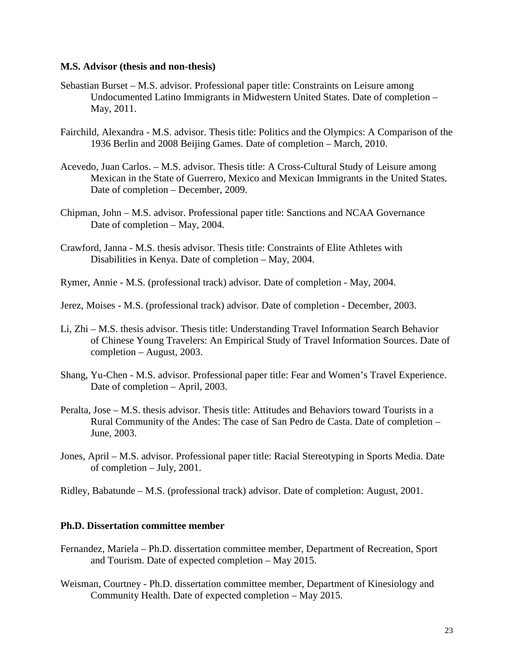#### **M.S. Advisor (thesis and non-thesis)**

- Sebastian Burset M.S. advisor. Professional paper title: Constraints on Leisure among Undocumented Latino Immigrants in Midwestern United States. Date of completion – May, 2011.
- Fairchild, Alexandra M.S. advisor. Thesis title: Politics and the Olympics: A Comparison of the 1936 Berlin and 2008 Beijing Games. Date of completion – March, 2010.
- Acevedo, Juan Carlos. M.S. advisor. Thesis title: A Cross-Cultural Study of Leisure among Mexican in the State of Guerrero, Mexico and Mexican Immigrants in the United States. Date of completion – December, 2009.
- Chipman, John M.S. advisor. Professional paper title: Sanctions and NCAA Governance Date of completion – May, 2004.
- Crawford, Janna M.S. thesis advisor. Thesis title: Constraints of Elite Athletes with Disabilities in Kenya. Date of completion – May, 2004.
- Rymer, Annie M.S. (professional track) advisor. Date of completion May, 2004.
- Jerez, Moises M.S. (professional track) advisor. Date of completion December, 2003.
- Li, Zhi M.S. thesis advisor. Thesis title: Understanding Travel Information Search Behavior of Chinese Young Travelers: An Empirical Study of Travel Information Sources. Date of completion – August, 2003.
- Shang, Yu-Chen M.S. advisor. Professional paper title: Fear and Women's Travel Experience. Date of completion – April, 2003.
- Peralta, Jose M.S. thesis advisor. Thesis title: Attitudes and Behaviors toward Tourists in a Rural Community of the Andes: The case of San Pedro de Casta. Date of completion – June, 2003.
- Jones, April M.S. advisor. Professional paper title: Racial Stereotyping in Sports Media. Date of completion – July, 2001.

Ridley, Babatunde – M.S. (professional track) advisor. Date of completion: August, 2001.

#### **Ph.D. Dissertation committee member**

- Fernandez, Mariela Ph.D. dissertation committee member, Department of Recreation, Sport and Tourism. Date of expected completion – May 2015.
- Weisman, Courtney Ph.D. dissertation committee member, Department of Kinesiology and Community Health. Date of expected completion – May 2015.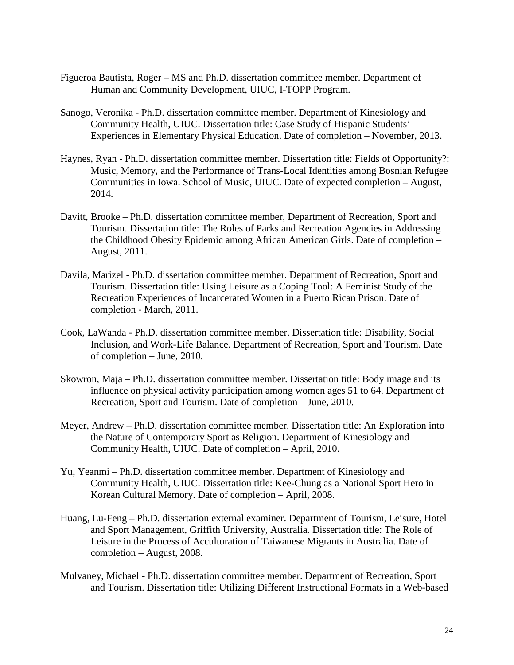- Figueroa Bautista, Roger MS and Ph.D. dissertation committee member. Department of Human and Community Development, UIUC, I-TOPP Program.
- Sanogo, Veronika Ph.D. dissertation committee member. Department of Kinesiology and Community Health, UIUC. Dissertation title: Case Study of Hispanic Students' Experiences in Elementary Physical Education. Date of completion – November, 2013.
- Haynes, Ryan Ph.D. dissertation committee member. Dissertation title: Fields of Opportunity?: Music, Memory, and the Performance of Trans-Local Identities among Bosnian Refugee Communities in Iowa. School of Music, UIUC. Date of expected completion – August, 2014.
- Davitt, Brooke Ph.D. dissertation committee member, Department of Recreation, Sport and Tourism. Dissertation title: The Roles of Parks and Recreation Agencies in Addressing the Childhood Obesity Epidemic among African American Girls. Date of completion – August, 2011.
- Davila, Marizel Ph.D. dissertation committee member. Department of Recreation, Sport and Tourism. Dissertation title: Using Leisure as a Coping Tool: A Feminist Study of the Recreation Experiences of Incarcerated Women in a Puerto Rican Prison. Date of completion - March, 2011.
- Cook, LaWanda Ph.D. dissertation committee member. Dissertation title: Disability, Social Inclusion, and Work-Life Balance. Department of Recreation, Sport and Tourism. Date of completion – June, 2010.
- Skowron, Maja Ph.D. dissertation committee member. Dissertation title: Body image and its influence on physical activity participation among women ages 51 to 64. Department of Recreation, Sport and Tourism. Date of completion – June, 2010.
- Meyer, Andrew Ph.D. dissertation committee member. Dissertation title: An Exploration into the Nature of Contemporary Sport as Religion. Department of Kinesiology and Community Health, UIUC. Date of completion – April, 2010.
- Yu, Yeanmi Ph.D. dissertation committee member. Department of Kinesiology and Community Health, UIUC. Dissertation title: Kee-Chung as a National Sport Hero in Korean Cultural Memory. Date of completion – April, 2008.
- Huang, Lu-Feng Ph.D. dissertation external examiner. Department of Tourism, Leisure, Hotel and Sport Management, Griffith University, Australia. Dissertation title: The Role of Leisure in the Process of Acculturation of Taiwanese Migrants in Australia. Date of completion – August, 2008.
- Mulvaney, Michael Ph.D. dissertation committee member. Department of Recreation, Sport and Tourism. Dissertation title: Utilizing Different Instructional Formats in a Web-based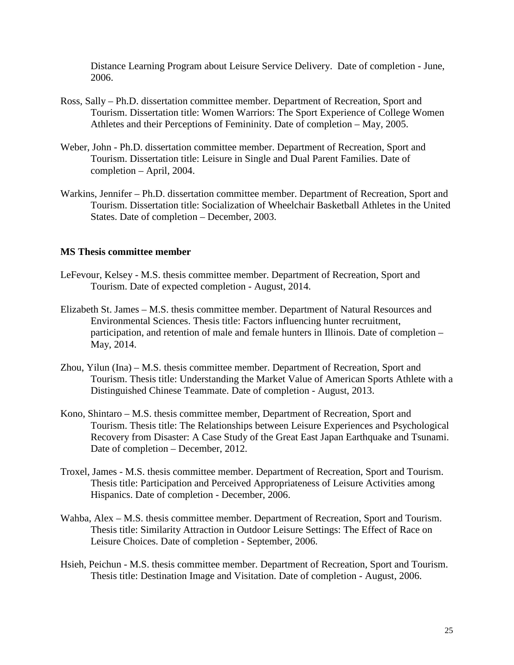Distance Learning Program about Leisure Service Delivery. Date of completion - June, 2006.

- Ross, Sally Ph.D. dissertation committee member. Department of Recreation, Sport and Tourism. Dissertation title: Women Warriors: The Sport Experience of College Women Athletes and their Perceptions of Femininity. Date of completion – May, 2005.
- Weber, John Ph.D. dissertation committee member. Department of Recreation, Sport and Tourism. Dissertation title: Leisure in Single and Dual Parent Families. Date of completion – April, 2004.
- Warkins, Jennifer Ph.D. dissertation committee member. Department of Recreation, Sport and Tourism. Dissertation title: Socialization of Wheelchair Basketball Athletes in the United States. Date of completion – December, 2003.

## **MS Thesis committee member**

- LeFevour, Kelsey M.S. thesis committee member. Department of Recreation, Sport and Tourism. Date of expected completion - August, 2014.
- Elizabeth St. James M.S. thesis committee member. Department of Natural Resources and Environmental Sciences. Thesis title: Factors influencing hunter recruitment, participation, and retention of male and female hunters in Illinois. Date of completion – May, 2014.
- Zhou, Yilun (Ina) M.S. thesis committee member. Department of Recreation, Sport and Tourism. Thesis title: Understanding the Market Value of American Sports Athlete with a Distinguished Chinese Teammate. Date of completion - August, 2013.
- Kono, Shintaro M.S. thesis committee member, Department of Recreation, Sport and Tourism. Thesis title: The Relationships between Leisure Experiences and Psychological Recovery from Disaster: A Case Study of the Great East Japan Earthquake and Tsunami. Date of completion – December, 2012.
- Troxel, James M.S. thesis committee member. Department of Recreation, Sport and Tourism. Thesis title: Participation and Perceived Appropriateness of Leisure Activities among Hispanics. Date of completion - December, 2006.
- Wahba, Alex M.S. thesis committee member. Department of Recreation, Sport and Tourism. Thesis title: Similarity Attraction in Outdoor Leisure Settings: The Effect of Race on Leisure Choices. Date of completion - September, 2006.
- Hsieh, Peichun M.S. thesis committee member. Department of Recreation, Sport and Tourism. Thesis title: Destination Image and Visitation. Date of completion - August, 2006.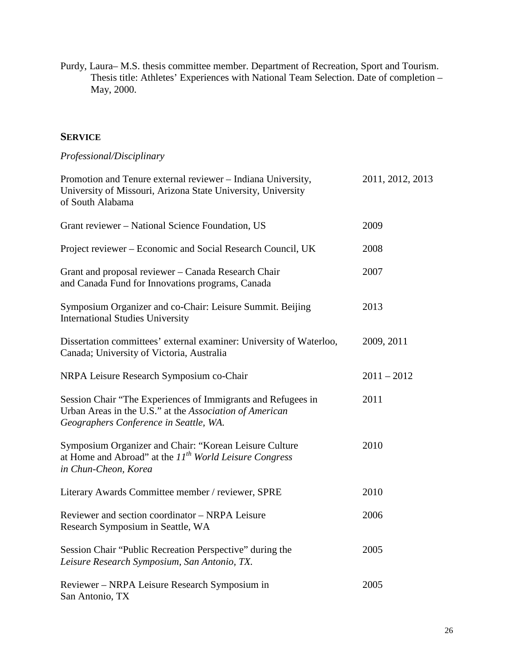Purdy, Laura– M.S. thesis committee member. Department of Recreation, Sport and Tourism. Thesis title: Athletes' Experiences with National Team Selection. Date of completion – May, 2000.

# **SERVICE**

# *Professional/Disciplinary*

| Promotion and Tenure external reviewer - Indiana University,<br>University of Missouri, Arizona State University, University<br>of South Alabama                  | 2011, 2012, 2013 |
|-------------------------------------------------------------------------------------------------------------------------------------------------------------------|------------------|
| Grant reviewer – National Science Foundation, US                                                                                                                  | 2009             |
| Project reviewer – Economic and Social Research Council, UK                                                                                                       | 2008             |
| Grant and proposal reviewer - Canada Research Chair<br>and Canada Fund for Innovations programs, Canada                                                           | 2007             |
| Symposium Organizer and co-Chair: Leisure Summit. Beijing<br><b>International Studies University</b>                                                              | 2013             |
| Dissertation committees' external examiner: University of Waterloo,<br>Canada; University of Victoria, Australia                                                  | 2009, 2011       |
| NRPA Leisure Research Symposium co-Chair                                                                                                                          | $2011 - 2012$    |
| Session Chair "The Experiences of Immigrants and Refugees in<br>Urban Areas in the U.S." at the Association of American<br>Geographers Conference in Seattle, WA. | 2011             |
| Symposium Organizer and Chair: "Korean Leisure Culture<br>at Home and Abroad" at the $IIth World Leisure Congress$<br>in Chun-Cheon, Korea                        | 2010             |
| Literary Awards Committee member / reviewer, SPRE                                                                                                                 | 2010             |
| Reviewer and section coordinator – NRPA Leisure<br>Research Symposium in Seattle, WA                                                                              | 2006             |
| Session Chair "Public Recreation Perspective" during the<br>Leisure Research Symposium, San Antonio, TX.                                                          | 2005             |
| Reviewer – NRPA Leisure Research Symposium in<br>San Antonio, TX                                                                                                  | 2005             |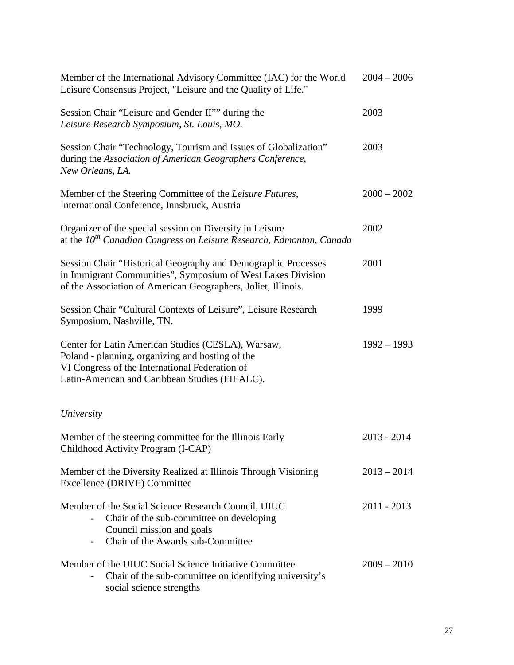| Member of the International Advisory Committee (IAC) for the World<br>Leisure Consensus Project, "Leisure and the Quality of Life."                                                                        | $2004 - 2006$ |
|------------------------------------------------------------------------------------------------------------------------------------------------------------------------------------------------------------|---------------|
| Session Chair "Leisure and Gender II"" during the<br>Leisure Research Symposium, St. Louis, MO.                                                                                                            | 2003          |
| Session Chair "Technology, Tourism and Issues of Globalization"<br>during the Association of American Geographers Conference,<br>New Orleans, LA.                                                          | 2003          |
| Member of the Steering Committee of the Leisure Futures,<br>International Conference, Innsbruck, Austria                                                                                                   | $2000 - 2002$ |
| Organizer of the special session on Diversity in Leisure<br>at the $10^{th}$ Canadian Congress on Leisure Research, Edmonton, Canada                                                                       | 2002          |
| Session Chair "Historical Geography and Demographic Processes<br>in Immigrant Communities", Symposium of West Lakes Division<br>of the Association of American Geographers, Joliet, Illinois.              | 2001          |
| Session Chair "Cultural Contexts of Leisure", Leisure Research<br>Symposium, Nashville, TN.                                                                                                                | 1999          |
| Center for Latin American Studies (CESLA), Warsaw,<br>Poland - planning, organizing and hosting of the<br>VI Congress of the International Federation of<br>Latin-American and Caribbean Studies (FIEALC). | $1992 - 1993$ |
| University                                                                                                                                                                                                 |               |
| Member of the steering committee for the Illinois Early<br>Childhood Activity Program (I-CAP)                                                                                                              | $2013 - 2014$ |
| Member of the Diversity Realized at Illinois Through Visioning<br><b>Excellence (DRIVE) Committee</b>                                                                                                      | $2013 - 2014$ |
| Member of the Social Science Research Council, UIUC<br>Chair of the sub-committee on developing<br>Council mission and goals<br>Chair of the Awards sub-Committee                                          | $2011 - 2013$ |
| Member of the UIUC Social Science Initiative Committee<br>Chair of the sub-committee on identifying university's<br>social science strengths                                                               | $2009 - 2010$ |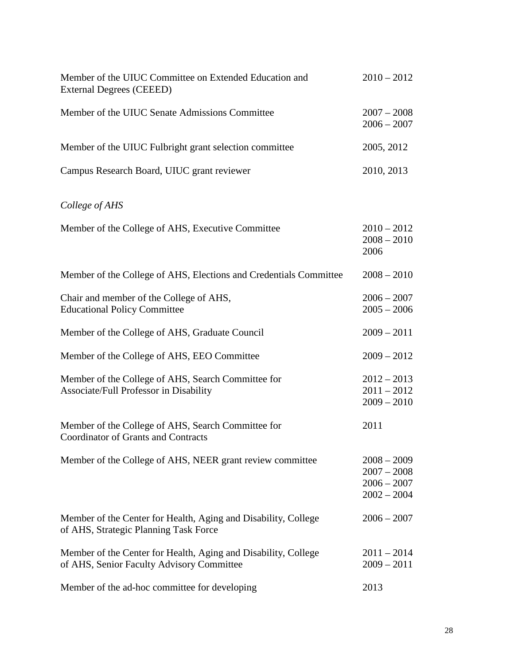| Member of the UIUC Committee on Extended Education and<br>External Degrees (CEEED)                          | $2010 - 2012$                                                    |
|-------------------------------------------------------------------------------------------------------------|------------------------------------------------------------------|
| Member of the UIUC Senate Admissions Committee                                                              | $2007 - 2008$<br>$2006 - 2007$                                   |
| Member of the UIUC Fulbright grant selection committee                                                      | 2005, 2012                                                       |
| Campus Research Board, UIUC grant reviewer                                                                  | 2010, 2013                                                       |
| College of AHS                                                                                              |                                                                  |
| Member of the College of AHS, Executive Committee                                                           | $2010 - 2012$<br>$2008 - 2010$<br>2006                           |
| Member of the College of AHS, Elections and Credentials Committee                                           | $2008 - 2010$                                                    |
| Chair and member of the College of AHS,<br><b>Educational Policy Committee</b>                              | $2006 - 2007$<br>$2005 - 2006$                                   |
| Member of the College of AHS, Graduate Council                                                              | $2009 - 2011$                                                    |
| Member of the College of AHS, EEO Committee                                                                 | $2009 - 2012$                                                    |
| Member of the College of AHS, Search Committee for<br>Associate/Full Professor in Disability                | $2012 - 2013$<br>$2011 - 2012$<br>$2009 - 2010$                  |
| Member of the College of AHS, Search Committee for<br><b>Coordinator of Grants and Contracts</b>            | 2011                                                             |
| Member of the College of AHS, NEER grant review committee                                                   | $2008 - 2009$<br>$2007 - 2008$<br>$2006 - 2007$<br>$2002 - 2004$ |
| Member of the Center for Health, Aging and Disability, College<br>of AHS, Strategic Planning Task Force     | $2006 - 2007$                                                    |
| Member of the Center for Health, Aging and Disability, College<br>of AHS, Senior Faculty Advisory Committee | $2011 - 2014$<br>$2009 - 2011$                                   |
| Member of the ad-hoc committee for developing                                                               | 2013                                                             |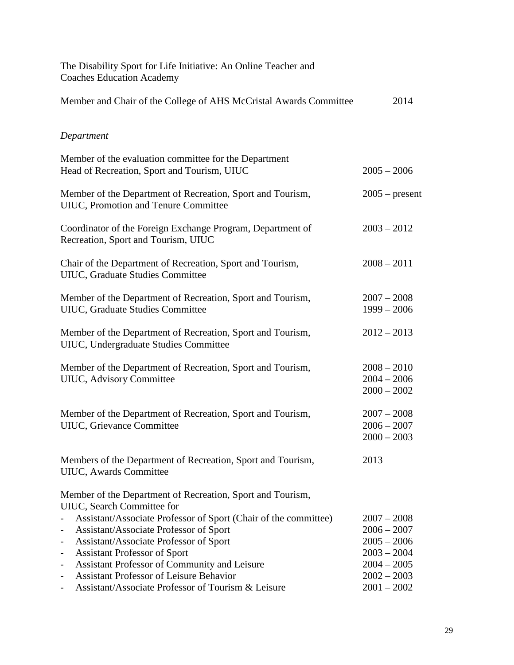| The Disability Sport for Life Initiative: An Online Teacher and<br><b>Coaches Education Academy</b>                                                                                                                                                                                                                                         |                                                                                   |
|---------------------------------------------------------------------------------------------------------------------------------------------------------------------------------------------------------------------------------------------------------------------------------------------------------------------------------------------|-----------------------------------------------------------------------------------|
| Member and Chair of the College of AHS McCristal Awards Committee                                                                                                                                                                                                                                                                           | 2014                                                                              |
| Department                                                                                                                                                                                                                                                                                                                                  |                                                                                   |
| Member of the evaluation committee for the Department<br>Head of Recreation, Sport and Tourism, UIUC                                                                                                                                                                                                                                        | $2005 - 2006$                                                                     |
| Member of the Department of Recreation, Sport and Tourism,<br>UIUC, Promotion and Tenure Committee                                                                                                                                                                                                                                          | $2005$ – present                                                                  |
| Coordinator of the Foreign Exchange Program, Department of<br>Recreation, Sport and Tourism, UIUC                                                                                                                                                                                                                                           | $2003 - 2012$                                                                     |
| Chair of the Department of Recreation, Sport and Tourism,<br>UIUC, Graduate Studies Committee                                                                                                                                                                                                                                               | $2008 - 2011$                                                                     |
| Member of the Department of Recreation, Sport and Tourism,<br>UIUC, Graduate Studies Committee                                                                                                                                                                                                                                              | $2007 - 2008$<br>$1999 - 2006$                                                    |
| Member of the Department of Recreation, Sport and Tourism,<br>UIUC, Undergraduate Studies Committee                                                                                                                                                                                                                                         | $2012 - 2013$                                                                     |
| Member of the Department of Recreation, Sport and Tourism,<br>UIUC, Advisory Committee                                                                                                                                                                                                                                                      | $2008 - 2010$<br>$2004 - 2006$<br>$2000 - 2002$                                   |
| Member of the Department of Recreation, Sport and Tourism,<br>UIUC, Grievance Committee                                                                                                                                                                                                                                                     | $2007 - 2008$<br>$2006 - 2007$<br>$2000 - 2003$                                   |
| Members of the Department of Recreation, Sport and Tourism,<br>UIUC, Awards Committee                                                                                                                                                                                                                                                       | 2013                                                                              |
| Member of the Department of Recreation, Sport and Tourism,<br>UIUC, Search Committee for                                                                                                                                                                                                                                                    |                                                                                   |
| Assistant/Associate Professor of Sport (Chair of the committee)<br>Assistant/Associate Professor of Sport<br>$\overline{\phantom{a}}$<br>Assistant/Associate Professor of Sport<br>$\qquad \qquad \blacksquare$<br><b>Assistant Professor of Sport</b><br>$\qquad \qquad \blacksquare$<br>Assistant Professor of Community and Leisure<br>- | $2007 - 2008$<br>$2006 - 2007$<br>$2005 - 2006$<br>$2003 - 2004$<br>$2004 - 2005$ |
| <b>Assistant Professor of Leisure Behavior</b><br>$\qquad \qquad \blacksquare$<br>Assistant/Associate Professor of Tourism & Leisure<br>$\qquad \qquad \blacksquare$                                                                                                                                                                        | $2002 - 2003$<br>$2001 - 2002$                                                    |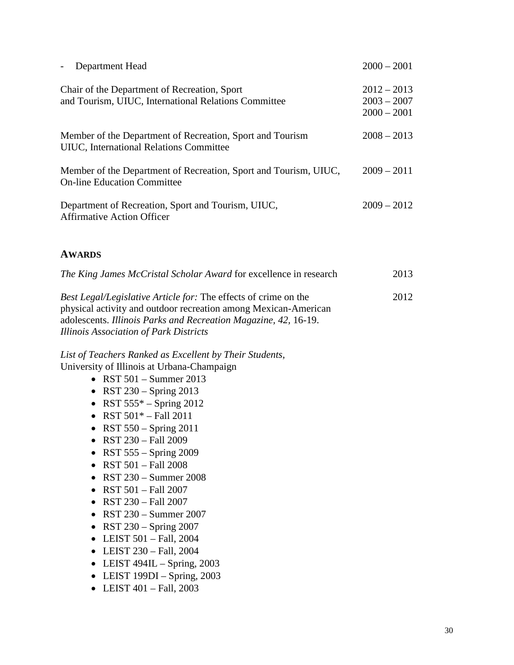| Department Head                                                                                        | $2000 - 2001$                                   |
|--------------------------------------------------------------------------------------------------------|-------------------------------------------------|
| Chair of the Department of Recreation, Sport<br>and Tourism, UIUC, International Relations Committee   | $2012 - 2013$<br>$2003 - 2007$<br>$2000 - 2001$ |
| Member of the Department of Recreation, Sport and Tourism<br>UIUC, International Relations Committee   | $2008 - 2013$                                   |
| Member of the Department of Recreation, Sport and Tourism, UIUC,<br><b>On-line Education Committee</b> | $2009 - 2011$                                   |
| Department of Recreation, Sport and Tourism, UIUC,<br><b>Affirmative Action Officer</b>                | $2009 - 2012$                                   |
| <b>AWARDS</b>                                                                                          |                                                 |
| The King James McCristal Scholar Award for excellence in research                                      | 2013                                            |
|                                                                                                        |                                                 |

*Best Legal/Legislative Article for:* The effects of crime on the 2012 physical activity and outdoor recreation among Mexican-American adolescents. *Illinois Parks and Recreation Magazine, 42,* 16-19. *Illinois Association of Park Districts*

*List of Teachers Ranked as Excellent by Their Students,* University of Illinois at Urbana-Champaign

- RST  $501 -$  Summer 2013
- RST 230 Spring 2013
- RST  $555^*$  Spring 2012
- RST  $501* Fall 2011$
- RST  $550 -$  Spring  $2011$
- RST 230 Fall 2009
- RST  $555 -$  Spring 2009
- RST 501 Fall 2008
- RST 230 Summer 2008
- RST 501 Fall 2007
- RST 230 Fall 2007
- RST 230 Summer 2007
- RST 230 Spring 2007
- LEIST 501 Fall, 2004
- LEIST 230 Fall, 2004
- LEIST  $494$ IL Spring, 2003
- LEIST 199DI Spring, 2003
- LEIST  $401 \text{Fall}, 2003$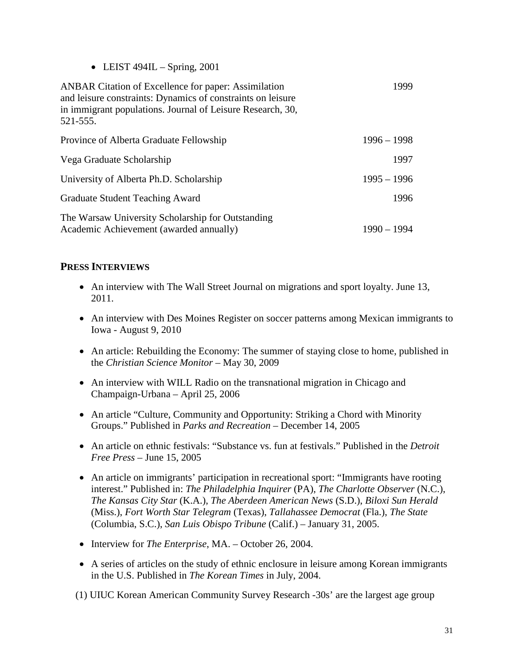• LEIST  $494IL - Spring, 2001$ 

| <b>ANBAR</b> Citation of Excellence for paper: Assimilation<br>and leisure constraints: Dynamics of constraints on leisure<br>in immigrant populations. Journal of Leisure Research, 30,<br>521-555. | 1999          |
|------------------------------------------------------------------------------------------------------------------------------------------------------------------------------------------------------|---------------|
| Province of Alberta Graduate Fellowship                                                                                                                                                              | $1996 - 1998$ |
| Vega Graduate Scholarship                                                                                                                                                                            | 1997          |
| University of Alberta Ph.D. Scholarship                                                                                                                                                              | $1995 - 1996$ |
| Graduate Student Teaching Award                                                                                                                                                                      | 1996          |
| The Warsaw University Scholarship for Outstanding<br>Academic Achievement (awarded annually)                                                                                                         | $1990 - 1994$ |

## **PRESS INTERVIEWS**

- An interview with The Wall Street Journal on migrations and sport loyalty. June 13, 2011.
- An interview with Des Moines Register on soccer patterns among Mexican immigrants to Iowa - August 9, 2010
- An article: Rebuilding the Economy: The summer of staying close to home, published in the *Christian Science Monitor* – May 30, 2009
- An interview with WILL Radio on the transnational migration in Chicago and Champaign-Urbana – April 25, 2006
- An article "Culture, Community and Opportunity: Striking a Chord with Minority Groups." Published in *Parks and Recreation* – December 14, 2005
- An article on ethnic festivals: "Substance vs. fun at festivals." Published in the *Detroit Free Press* – June 15, 2005
- An article on immigrants' participation in recreational sport: "Immigrants have rooting interest." Published in: *The Philadelphia Inquirer* (PA), *The Charlotte Observer* (N.C.), *The Kansas City Star* (K.A.), *The Aberdeen American News* (S.D.), *Biloxi Sun Herald* (Miss.), *Fort Worth Star Telegram* (Texas), *Tallahassee Democrat* (Fla.), *The State* (Columbia, S.C.), *San Luis Obispo Tribune* (Calif.) – January 31, 2005.
- Interview for *The Enterprise*, MA. October 26, 2004.
- A series of articles on the study of ethnic enclosure in leisure among Korean immigrants in the U.S. Published in *The Korean Times* in July, 2004.

(1) UIUC Korean American Community Survey Research -30s' are the largest age group